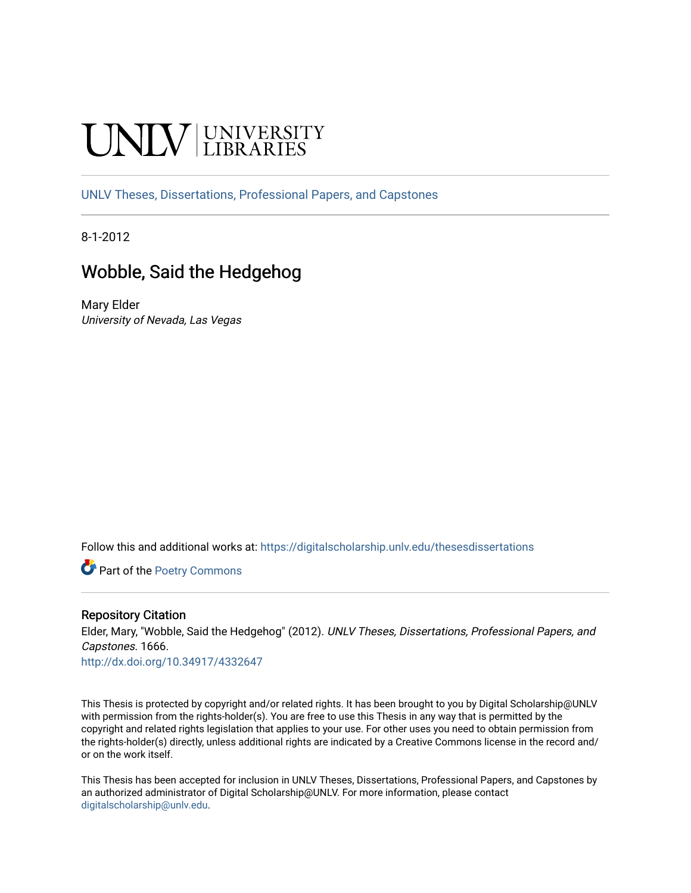# **INIVERSITY**

[UNLV Theses, Dissertations, Professional Papers, and Capstones](https://digitalscholarship.unlv.edu/thesesdissertations)

8-1-2012

# Wobble, Said the Hedgehog

Mary Elder University of Nevada, Las Vegas

Follow this and additional works at: [https://digitalscholarship.unlv.edu/thesesdissertations](https://digitalscholarship.unlv.edu/thesesdissertations?utm_source=digitalscholarship.unlv.edu%2Fthesesdissertations%2F1666&utm_medium=PDF&utm_campaign=PDFCoverPages)

Part of the [Poetry Commons](http://network.bepress.com/hgg/discipline/1153?utm_source=digitalscholarship.unlv.edu%2Fthesesdissertations%2F1666&utm_medium=PDF&utm_campaign=PDFCoverPages) 

#### Repository Citation

Elder, Mary, "Wobble, Said the Hedgehog" (2012). UNLV Theses, Dissertations, Professional Papers, and Capstones. 1666.

<http://dx.doi.org/10.34917/4332647>

This Thesis is protected by copyright and/or related rights. It has been brought to you by Digital Scholarship@UNLV with permission from the rights-holder(s). You are free to use this Thesis in any way that is permitted by the copyright and related rights legislation that applies to your use. For other uses you need to obtain permission from the rights-holder(s) directly, unless additional rights are indicated by a Creative Commons license in the record and/ or on the work itself.

This Thesis has been accepted for inclusion in UNLV Theses, Dissertations, Professional Papers, and Capstones by an authorized administrator of Digital Scholarship@UNLV. For more information, please contact [digitalscholarship@unlv.edu](mailto:digitalscholarship@unlv.edu).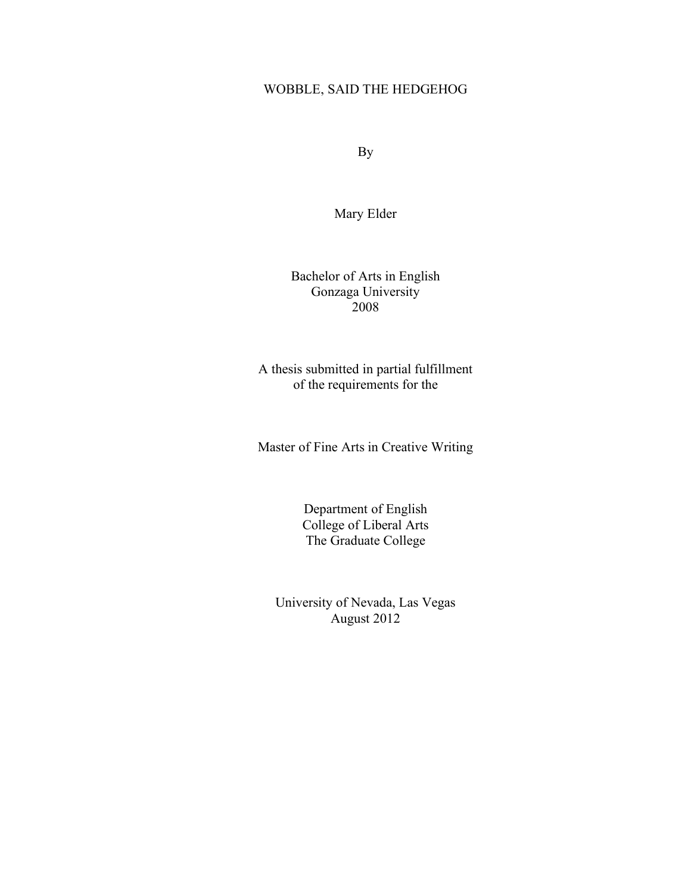# WOBBLE, SAID THE HEDGEHOG

By

Mary Elder

Bachelor of Arts in English Gonzaga University 2008

A thesis submitted in partial fulfillment of the requirements for the

Master of Fine Arts in Creative Writing

Department of English College of Liberal Arts The Graduate College

University of Nevada, Las Vegas August 2012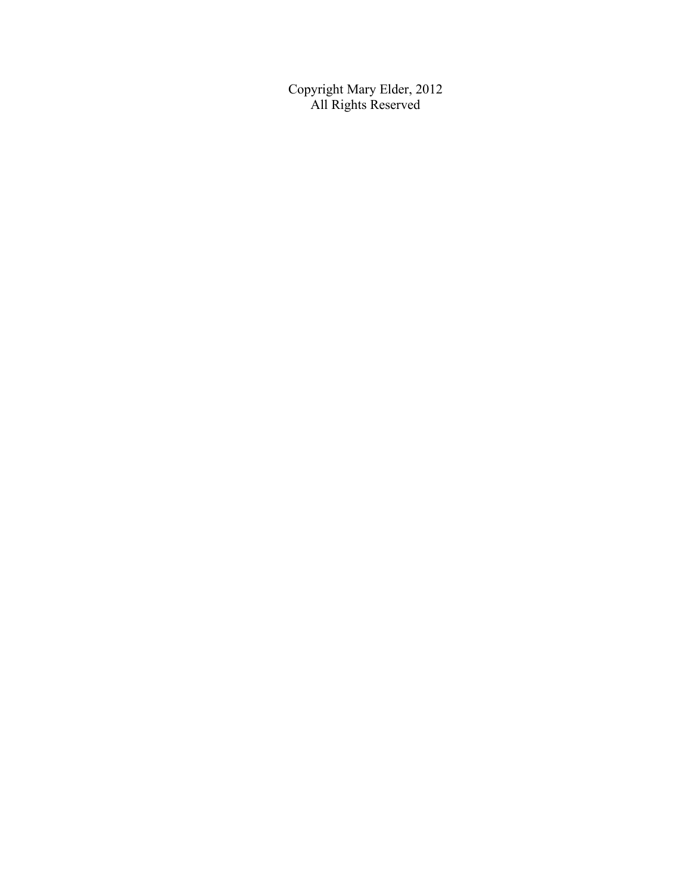Copyright Mary Elder, 2012 All Rights Reserved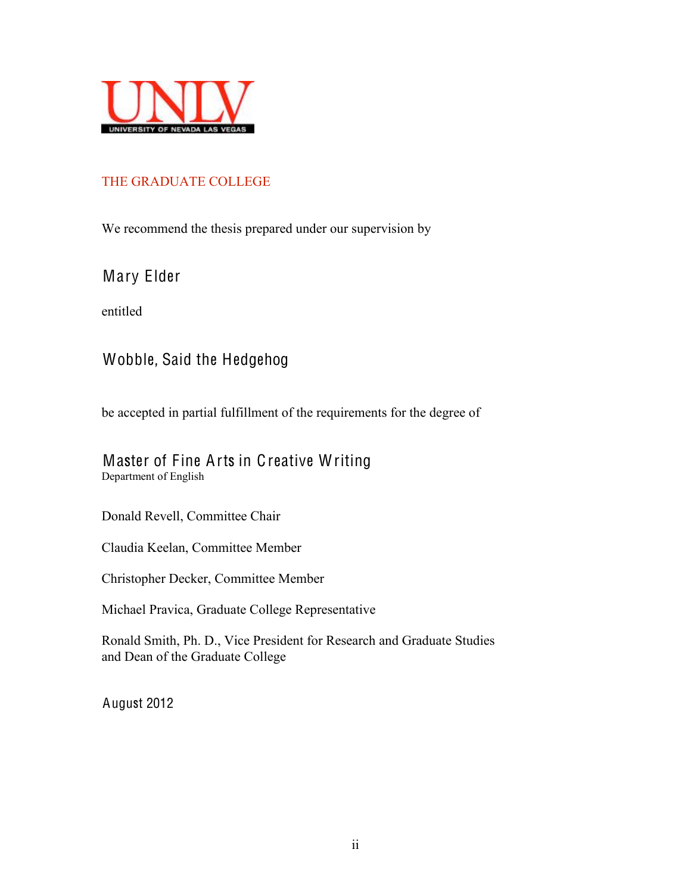

# THE GRADUATE COLLEGE

We recommend the thesis prepared under our supervision by

Mary Elder

entitled

# Wobble, Said the Hedgehog

be accepted in partial fulfillment of the requirements for the degree of

Master of Fine Arts in Creative W riting Department of English

Donald Revell, Committee Chair

Claudia Keelan, Committee Member

Christopher Decker, Committee Member

Michael Pravica, Graduate College Representative

Ronald Smith, Ph. D., Vice President for Research and Graduate Studies and Dean of the Graduate College

August 2012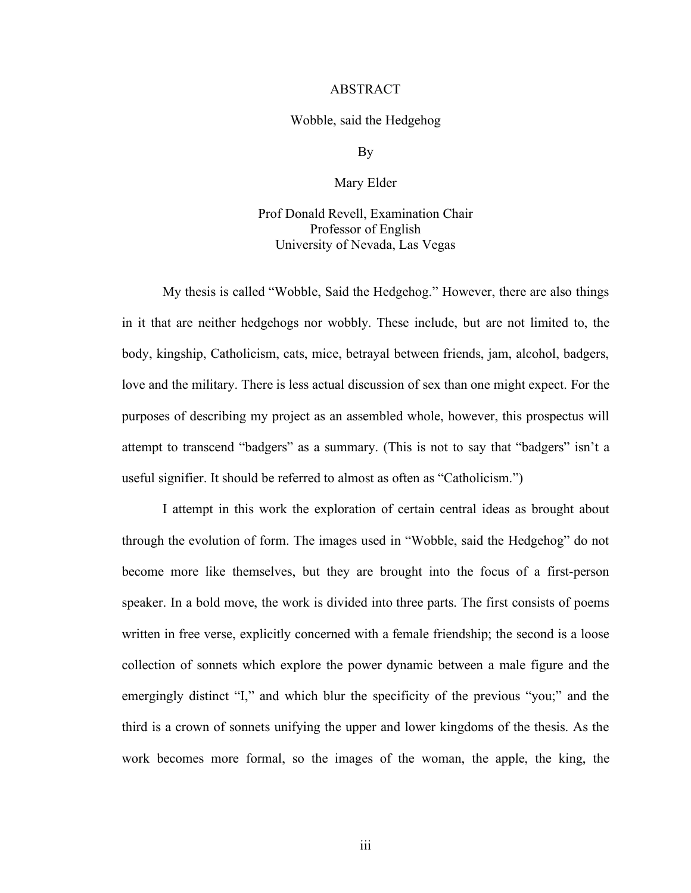#### ABSTRACT

#### Wobble, said the Hedgehog

By

#### Mary Elder

#### Prof Donald Revell, Examination Chair Professor of English University of Nevada, Las Vegas

My thesis is called "Wobble, Said the Hedgehog." However, there are also things in it that are neither hedgehogs nor wobbly. These include, but are not limited to, the body, kingship, Catholicism, cats, mice, betrayal between friends, jam, alcohol, badgers, love and the military. There is less actual discussion of sex than one might expect. For the purposes of describing my project as an assembled whole, however, this prospectus will attempt to transcend "badgers" as a summary. (This is not to say that "badgers" isn't a useful signifier. It should be referred to almost as often as "Catholicism.")

I attempt in this work the exploration of certain central ideas as brought about through the evolution of form. The images used in "Wobble, said the Hedgehog" do not become more like themselves, but they are brought into the focus of a first-person speaker. In a bold move, the work is divided into three parts. The first consists of poems written in free verse, explicitly concerned with a female friendship; the second is a loose collection of sonnets which explore the power dynamic between a male figure and the emergingly distinct "I," and which blur the specificity of the previous "you;" and the third is a crown of sonnets unifying the upper and lower kingdoms of the thesis. As the work becomes more formal, so the images of the woman, the apple, the king, the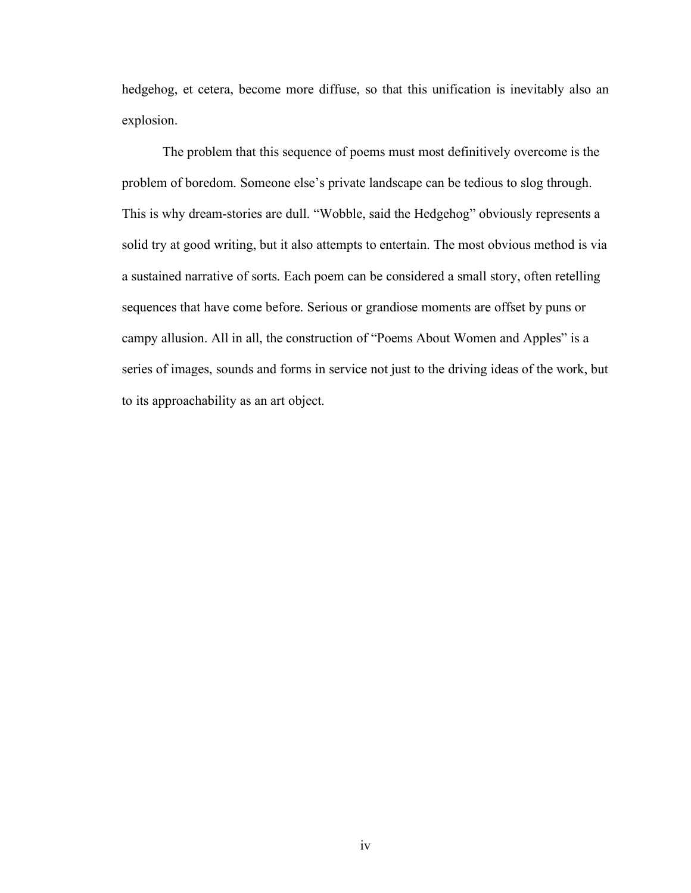hedgehog, et cetera, become more diffuse, so that this unification is inevitably also an explosion.

The problem that this sequence of poems must most definitively overcome is the problem of boredom. Someone else's private landscape can be tedious to slog through. This is why dream-stories are dull. "Wobble, said the Hedgehog" obviously represents a solid try at good writing, but it also attempts to entertain. The most obvious method is via a sustained narrative of sorts. Each poem can be considered a small story, often retelling sequences that have come before. Serious or grandiose moments are offset by puns or campy allusion. All in all, the construction of "Poems About Women and Apples" is a series of images, sounds and forms in service not just to the driving ideas of the work, but to its approachability as an art object.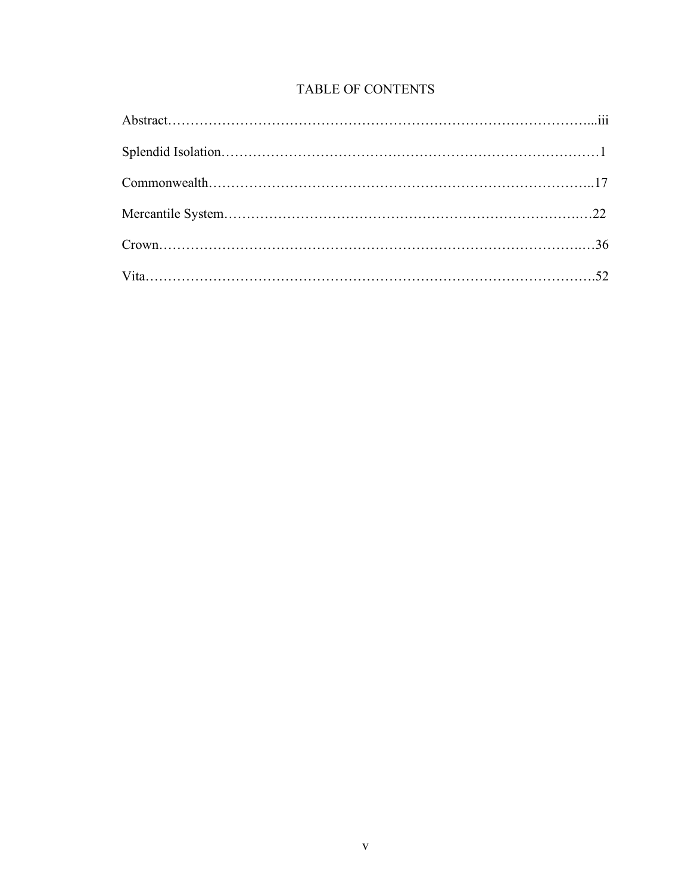# TABLE OF CONTENTS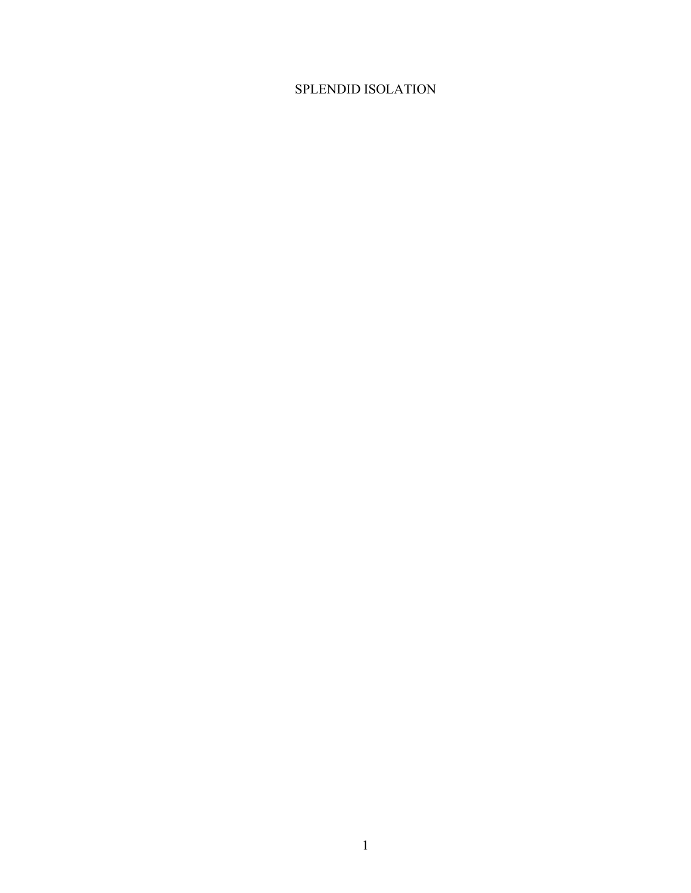# SPLENDID ISOLATION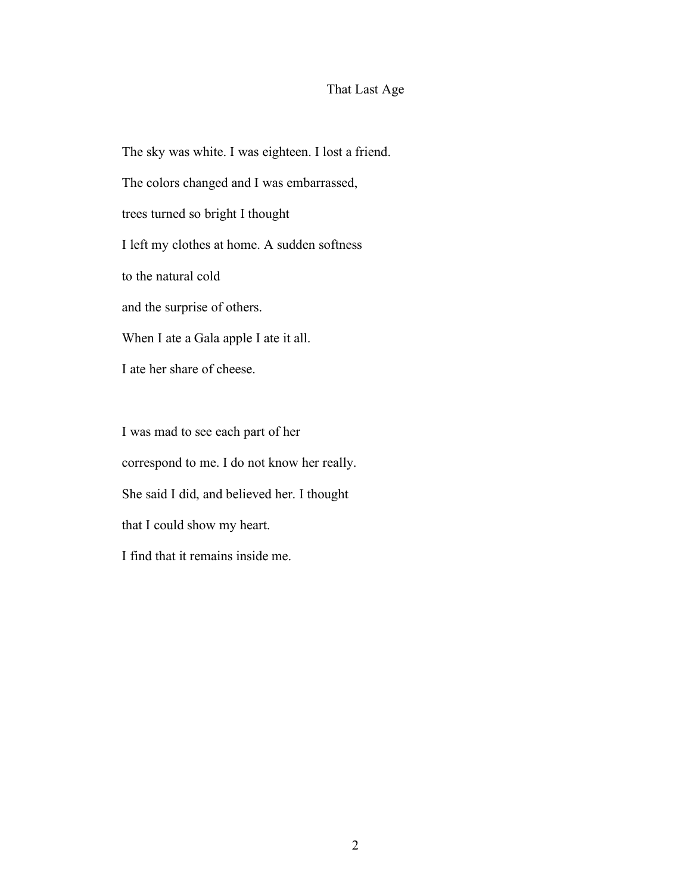## That Last Age

The sky was white. I was eighteen. I lost a friend. The colors changed and I was embarrassed, trees turned so bright I thought I left my clothes at home. A sudden softness to the natural cold and the surprise of others. When I ate a Gala apple I ate it all. I ate her share of cheese.

I was mad to see each part of her correspond to me. I do not know her really. She said I did, and believed her. I thought that I could show my heart. I find that it remains inside me.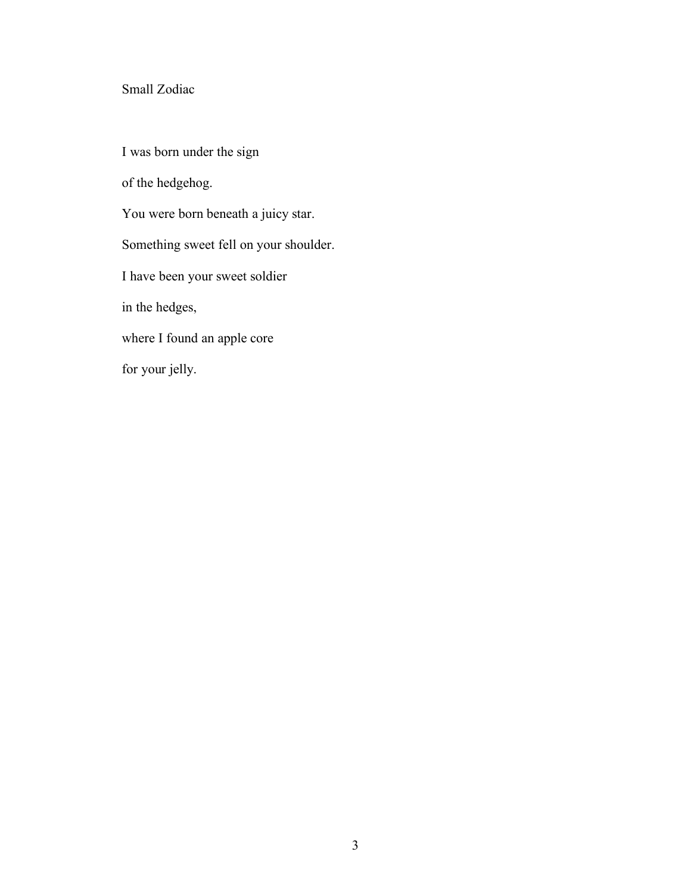# Small Zodiac

I was born under the sign of the hedgehog. You were born beneath a juicy star. Something sweet fell on your shoulder. I have been your sweet soldier in the hedges, where I found an apple core for your jelly.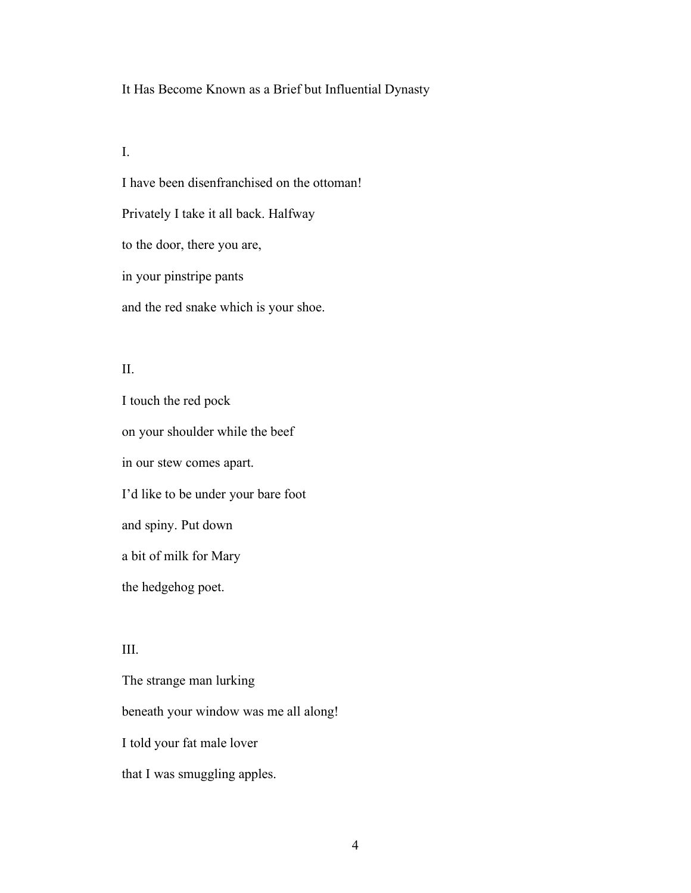## It Has Become Known as a Brief but Influential Dynasty

I.

I have been disenfranchised on the ottoman! Privately I take it all back. Halfway to the door, there you are, in your pinstripe pants and the red snake which is your shoe.

II.

I touch the red pock on your shoulder while the beef in our stew comes apart. I'd like to be under your bare foot and spiny. Put down a bit of milk for Mary the hedgehog poet.

III.

The strange man lurking beneath your window was me all along! I told your fat male lover that I was smuggling apples.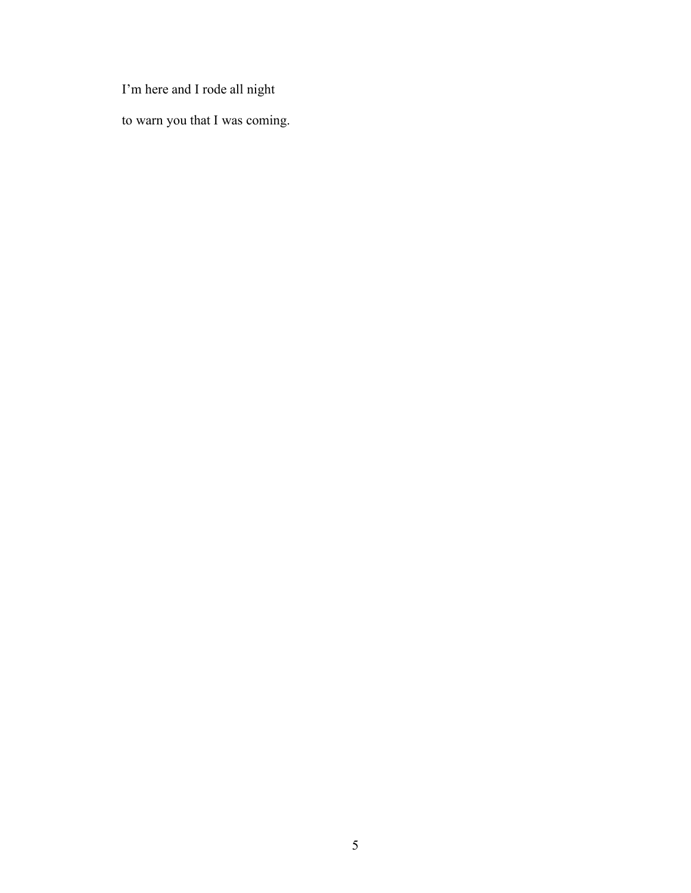I'm here and I rode all night

to warn you that I was coming.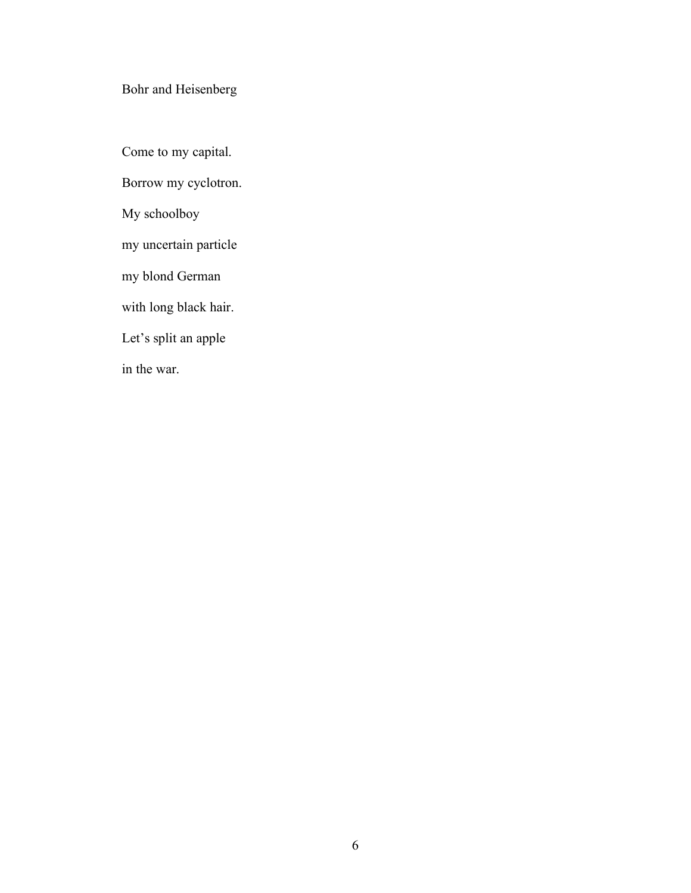# Bohr and Heisenberg

Come to my capital. Borrow my cyclotron. My schoolboy my uncertain particle my blond German with long black hair.

Let's split an apple

in the war.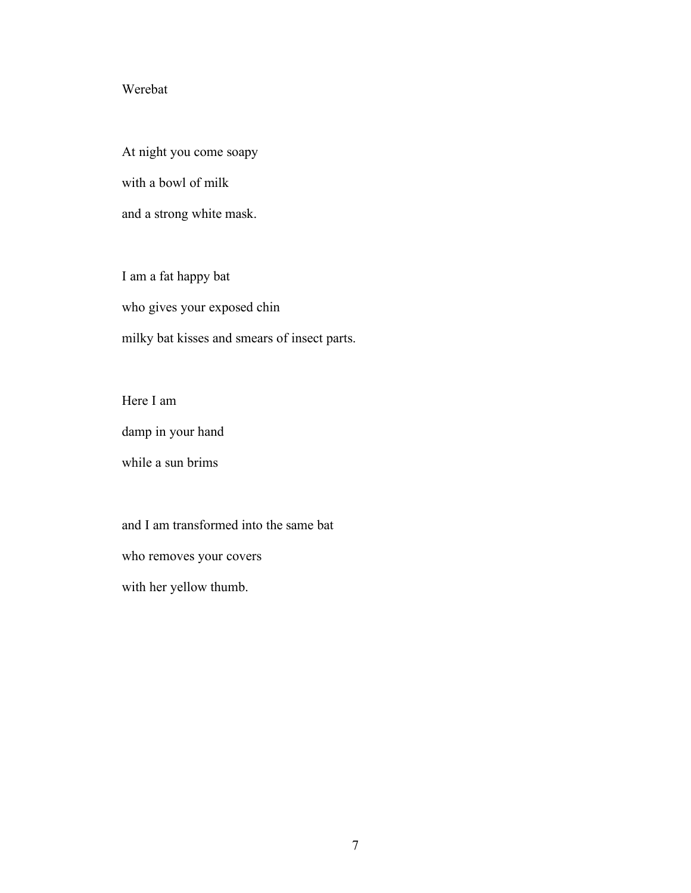#### Werebat

At night you come soapy with a bowl of milk and a strong white mask.

I am a fat happy bat who gives your exposed chin milky bat kisses and smears of insect parts.

Here I am

damp in your hand

while a sun brims

and I am transformed into the same bat who removes your covers

with her yellow thumb.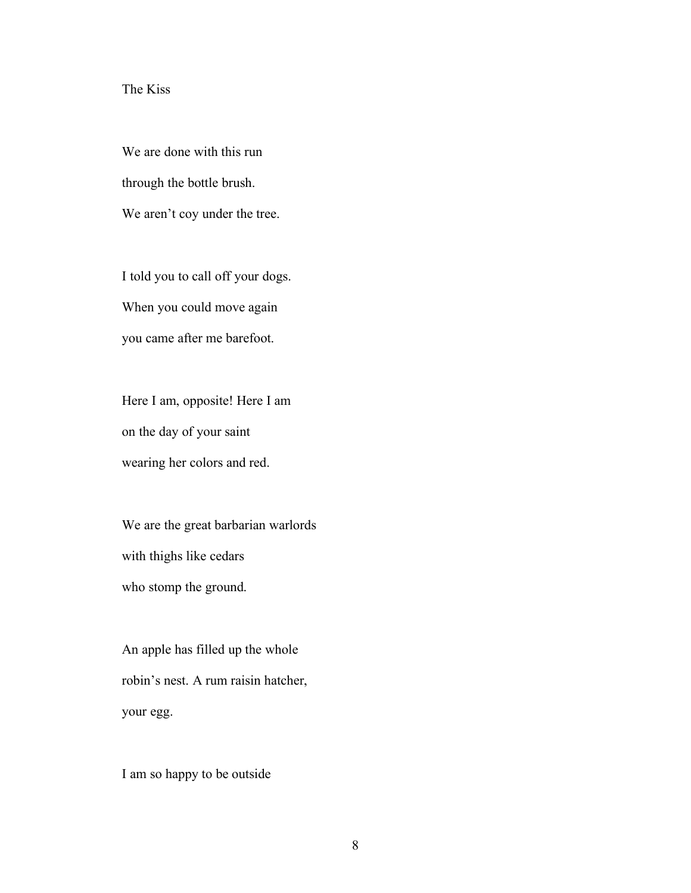#### The Kiss

We are done with this run through the bottle brush. We aren't coy under the tree.

I told you to call off your dogs. When you could move again you came after me barefoot.

Here I am, opposite! Here I am on the day of your saint wearing her colors and red.

We are the great barbarian warlords with thighs like cedars who stomp the ground.

An apple has filled up the whole robin's nest. A rum raisin hatcher, your egg.

I am so happy to be outside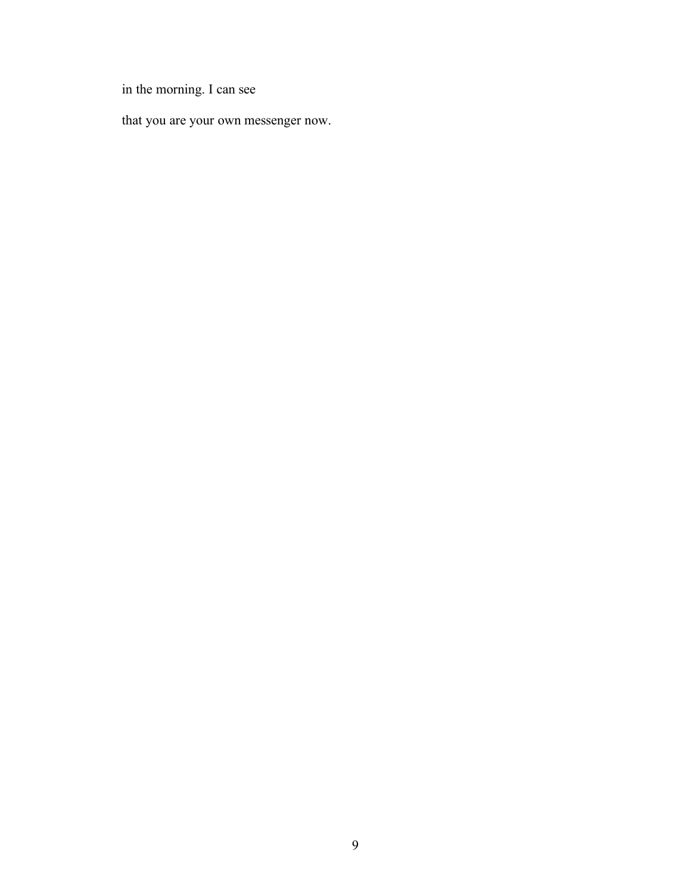in the morning. I can see

that you are your own messenger now.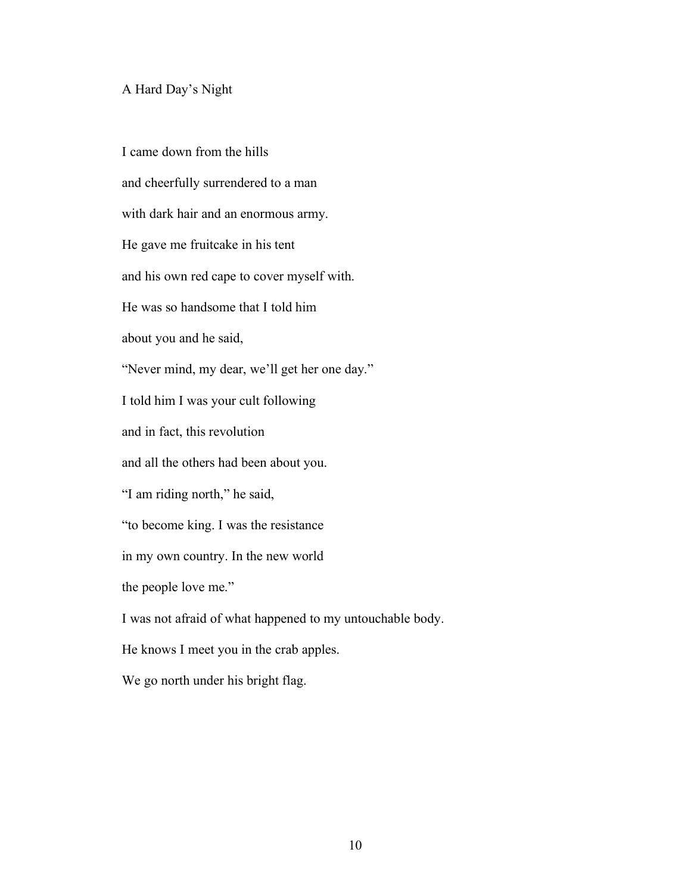#### A Hard Day's Night

I came down from the hills and cheerfully surrendered to a man with dark hair and an enormous army. He gave me fruitcake in his tent and his own red cape to cover myself with. He was so handsome that I told him about you and he said, "Never mind, my dear, we'll get her one day." I told him I was your cult following and in fact, this revolution and all the others had been about you. "I am riding north," he said, "to become king. I was the resistance in my own country. In the new world the people love me." I was not afraid of what happened to my untouchable body. He knows I meet you in the crab apples. We go north under his bright flag.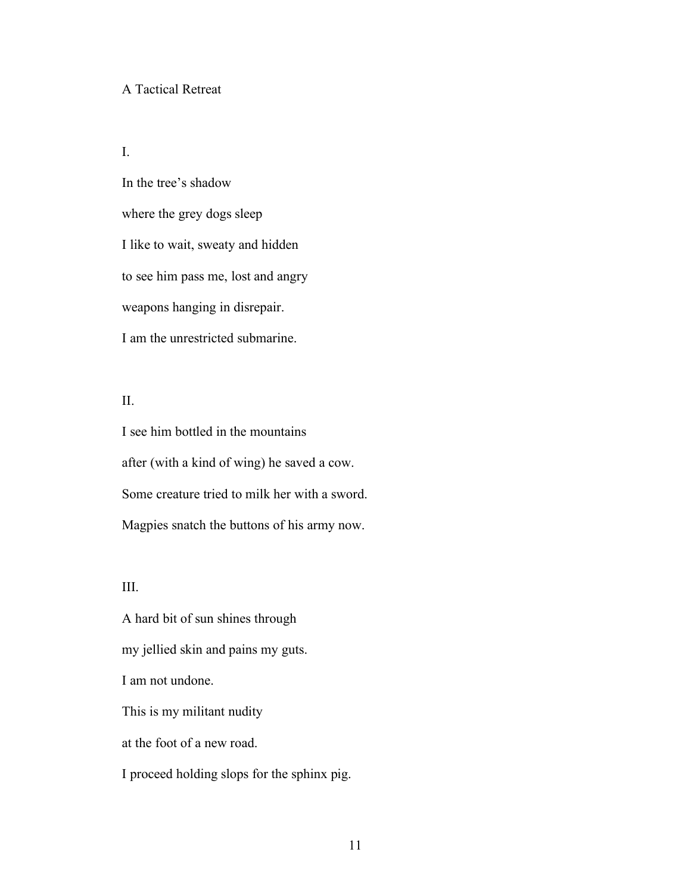#### A Tactical Retreat

I.

In the tree's shadow where the grey dogs sleep I like to wait, sweaty and hidden to see him pass me, lost and angry weapons hanging in disrepair. I am the unrestricted submarine.

II.

I see him bottled in the mountains after (with a kind of wing) he saved a cow. Some creature tried to milk her with a sword. Magpies snatch the buttons of his army now.

III.

A hard bit of sun shines through my jellied skin and pains my guts. I am not undone. This is my militant nudity at the foot of a new road. I proceed holding slops for the sphinx pig.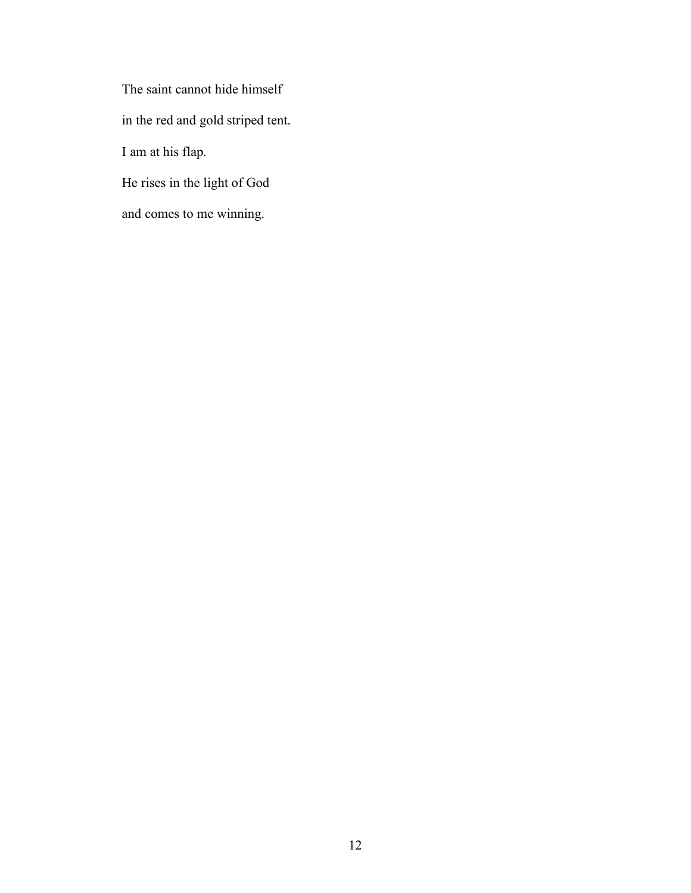The saint cannot hide himself in the red and gold striped tent. I am at his flap. He rises in the light of God and comes to me winning.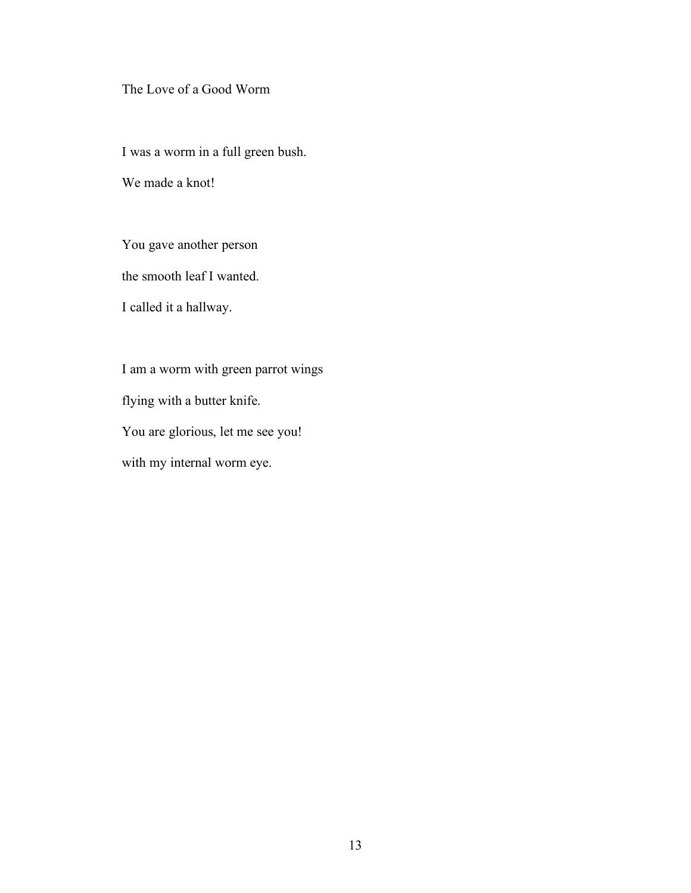The Love of a Good Worm

I was a worm in a full green bush.

We made a knot!

You gave another person

the smooth leaf I wanted.

I called it a hallway.

I am a worm with green parrot wings flying with a butter knife. You are glorious, let me see you! with my internal worm eye.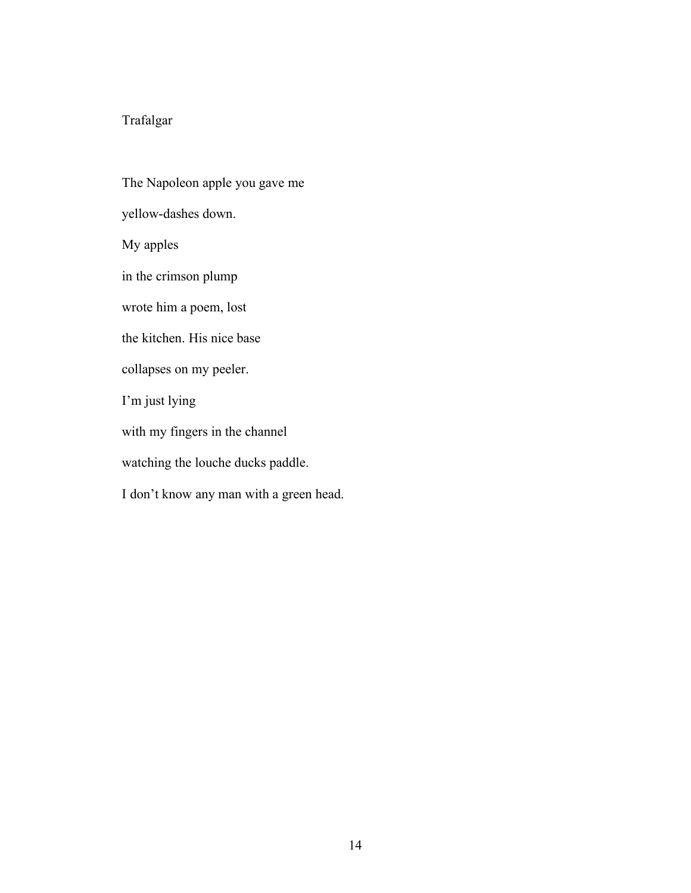# Trafalgar

The Napoleon apple you gave me yellow-dashes down. My apples in the crimson plump wrote him a poem, lost the kitchen. His nice base collapses on my peeler. I'm just lying with my fingers in the channel watching the louche ducks paddle. I don't know any man with a green head.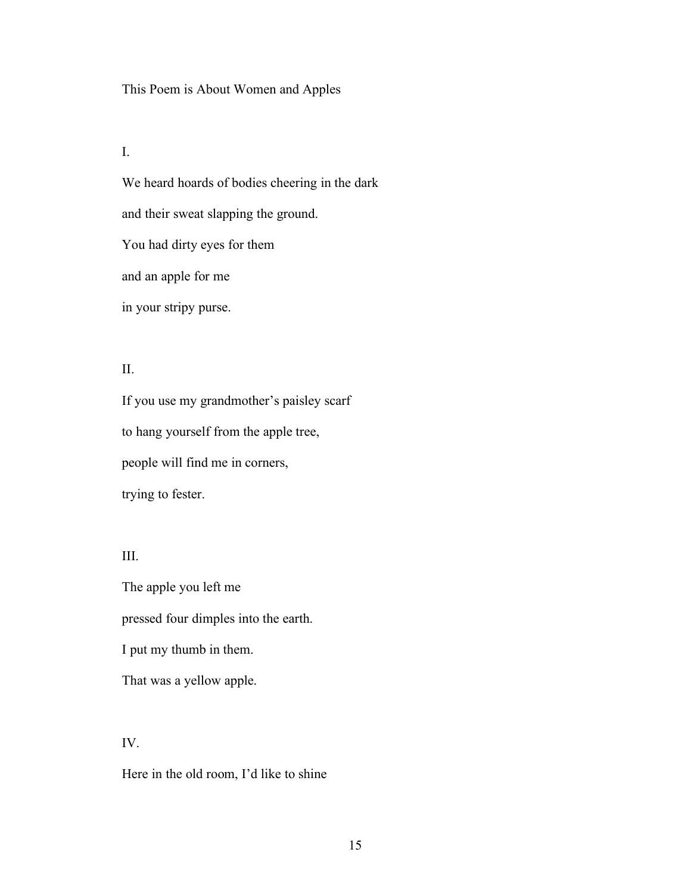## This Poem is About Women and Apples

I.

We heard hoards of bodies cheering in the dark and their sweat slapping the ground. You had dirty eyes for them and an apple for me in your stripy purse.

II.

If you use my grandmother's paisley scarf to hang yourself from the apple tree, people will find me in corners, trying to fester.

III.

The apple you left me pressed four dimples into the earth. I put my thumb in them. That was a yellow apple.

#### IV.

Here in the old room, I'd like to shine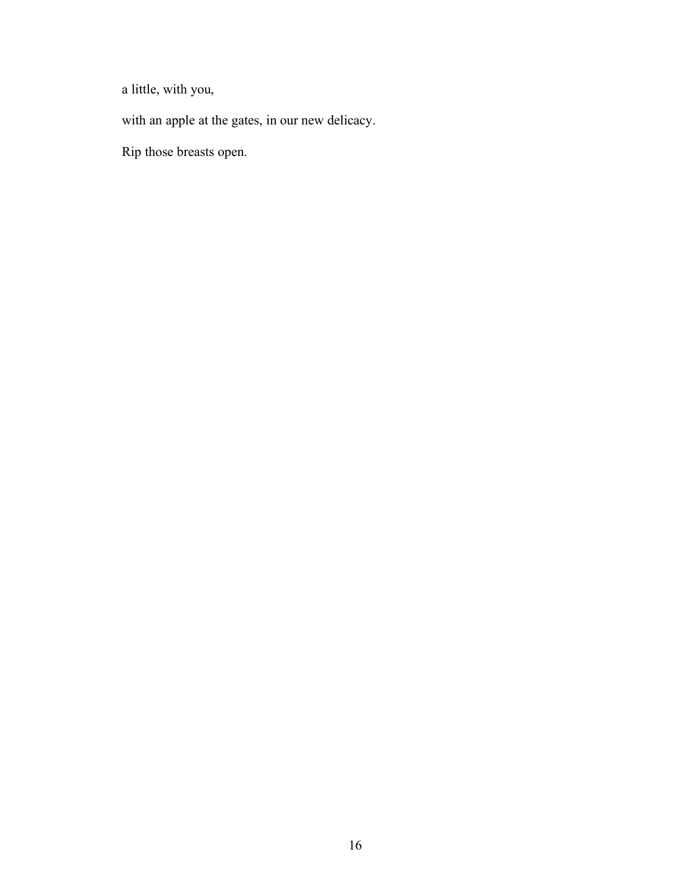a little, with you,

with an apple at the gates, in our new delicacy.

Rip those breasts open.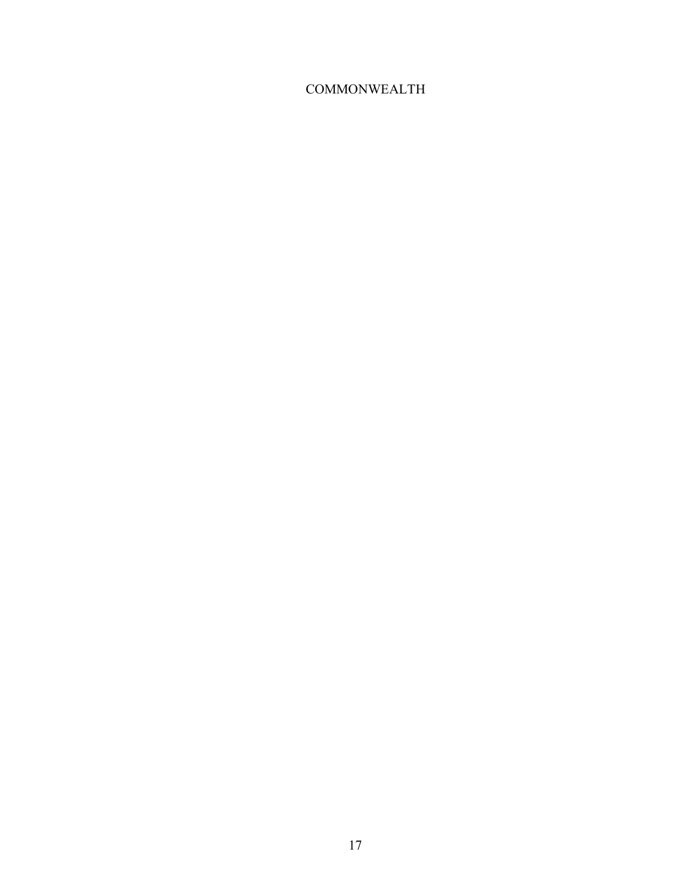# **COMMONWEALTH**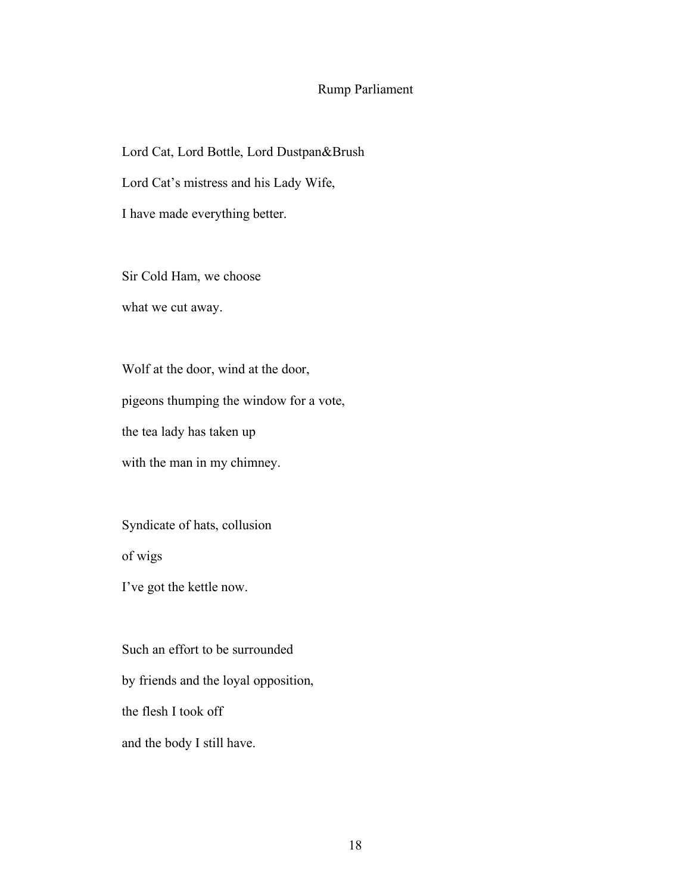## Rump Parliament

Lord Cat, Lord Bottle, Lord Dustpan&Brush Lord Cat's mistress and his Lady Wife, I have made everything better.

Sir Cold Ham, we choose what we cut away.

Wolf at the door, wind at the door, pigeons thumping the window for a vote, the tea lady has taken up with the man in my chimney.

Syndicate of hats, collusion

of wigs

I've got the kettle now.

Such an effort to be surrounded by friends and the loyal opposition, the flesh I took off and the body I still have.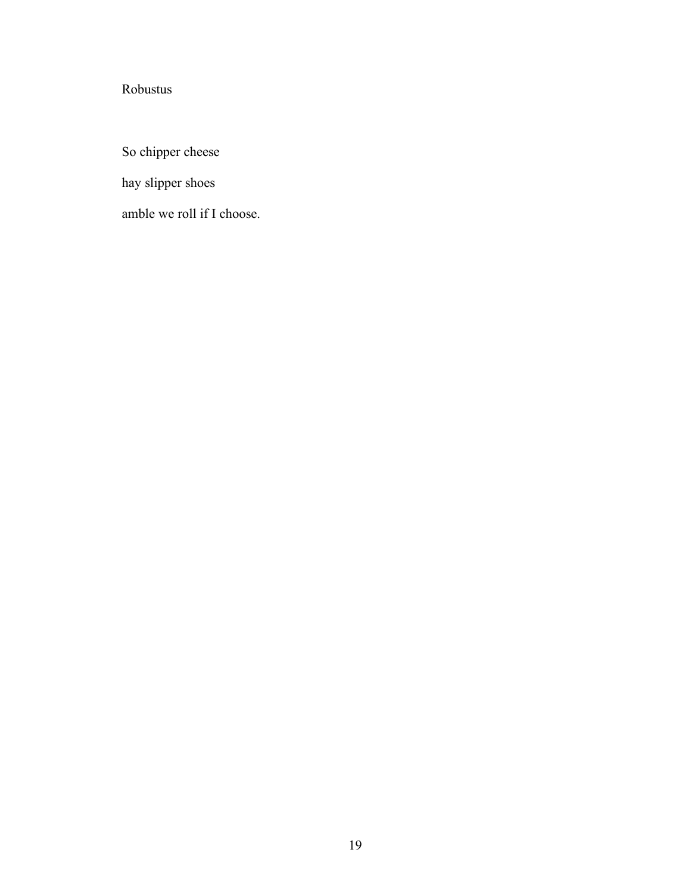# Robustus

So chipper cheese

hay slipper shoes

amble we roll if I choose.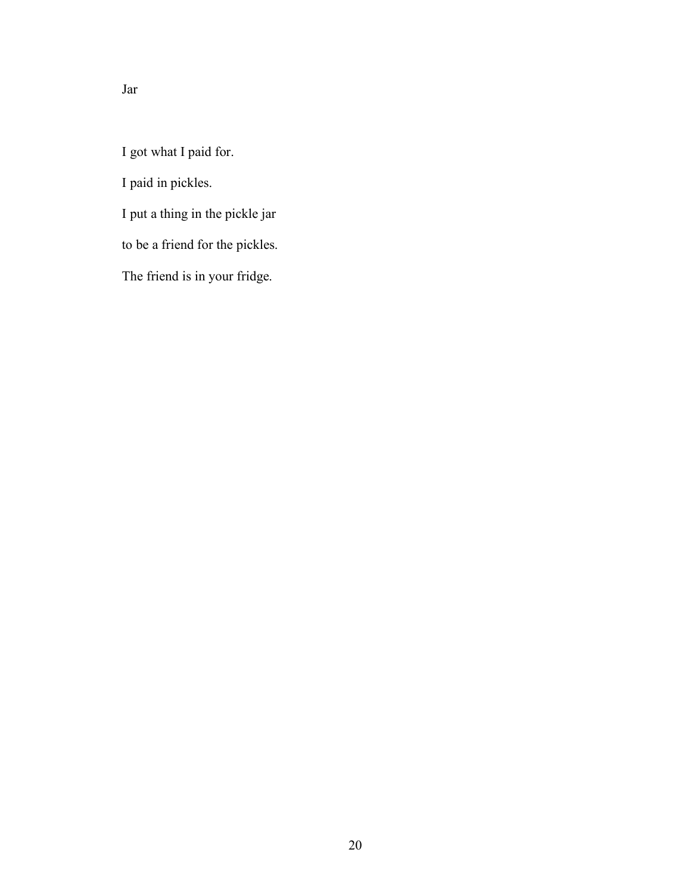Jar

I got what I paid for.

I paid in pickles.

I put a thing in the pickle jar

to be a friend for the pickles.

The friend is in your fridge.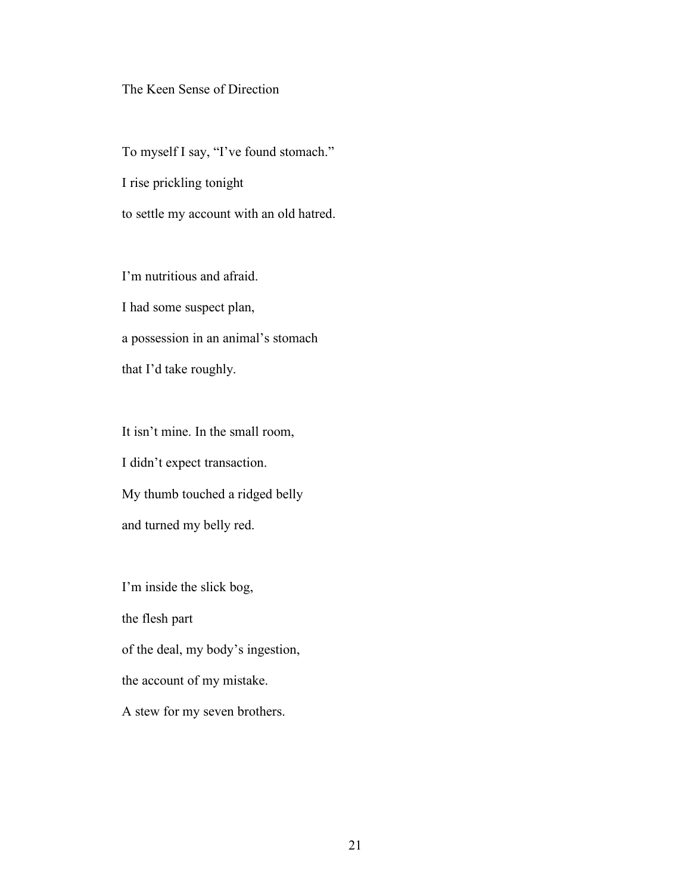## The Keen Sense of Direction

To myself I say, "I've found stomach." I rise prickling tonight to settle my account with an old hatred.

I'm nutritious and afraid. I had some suspect plan, a possession in an animal's stomach that I'd take roughly.

It isn't mine. In the small room, I didn't expect transaction. My thumb touched a ridged belly and turned my belly red.

I'm inside the slick bog, the flesh part of the deal, my body's ingestion, the account of my mistake. A stew for my seven brothers.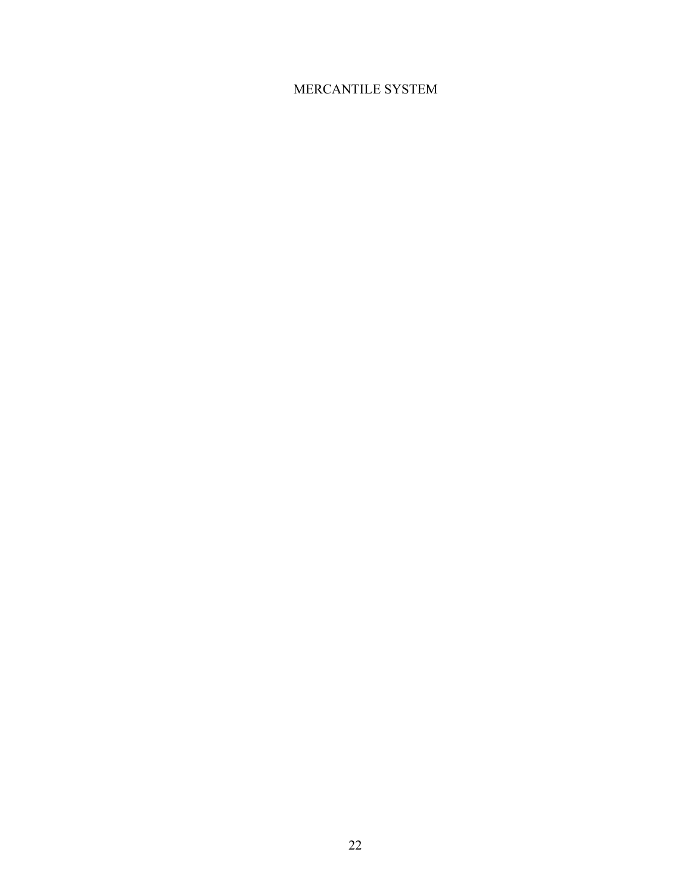# MERCANTILE SYSTEM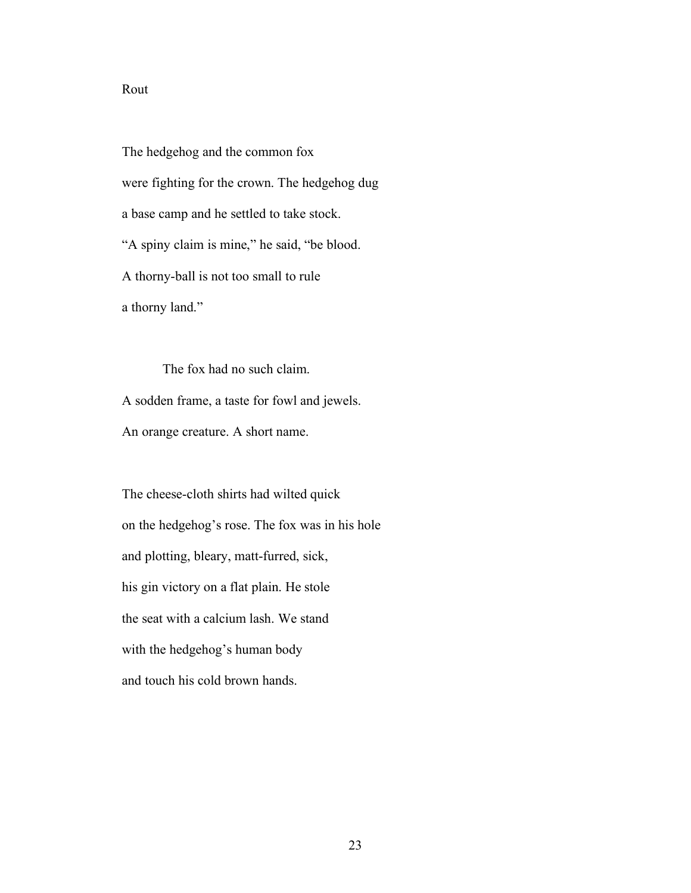#### Rout

The hedgehog and the common fox were fighting for the crown. The hedgehog dug a base camp and he settled to take stock. "A spiny claim is mine," he said, "be blood. A thorny-ball is not too small to rule a thorny land."

The fox had no such claim. A sodden frame, a taste for fowl and jewels. An orange creature. A short name.

The cheese-cloth shirts had wilted quick on the hedgehog's rose. The fox was in his hole and plotting, bleary, matt-furred, sick, his gin victory on a flat plain. He stole the seat with a calcium lash. We stand with the hedgehog's human body and touch his cold brown hands.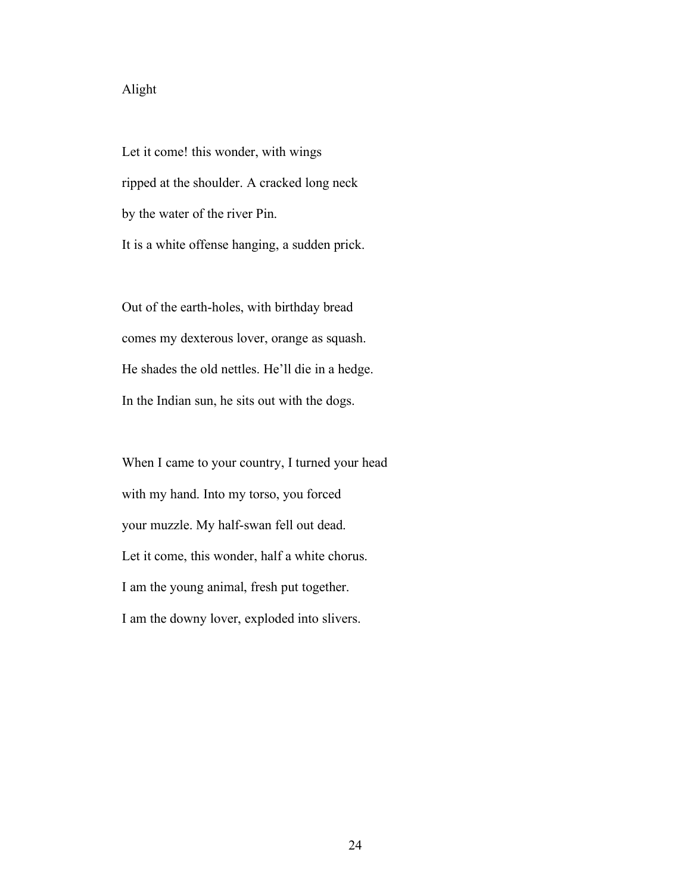## Alight

Let it come! this wonder, with wings ripped at the shoulder. A cracked long neck by the water of the river Pin. It is a white offense hanging, a sudden prick.

Out of the earth-holes, with birthday bread comes my dexterous lover, orange as squash. He shades the old nettles. He'll die in a hedge. In the Indian sun, he sits out with the dogs.

When I came to your country, I turned your head with my hand. Into my torso, you forced your muzzle. My half-swan fell out dead. Let it come, this wonder, half a white chorus. I am the young animal, fresh put together. I am the downy lover, exploded into slivers.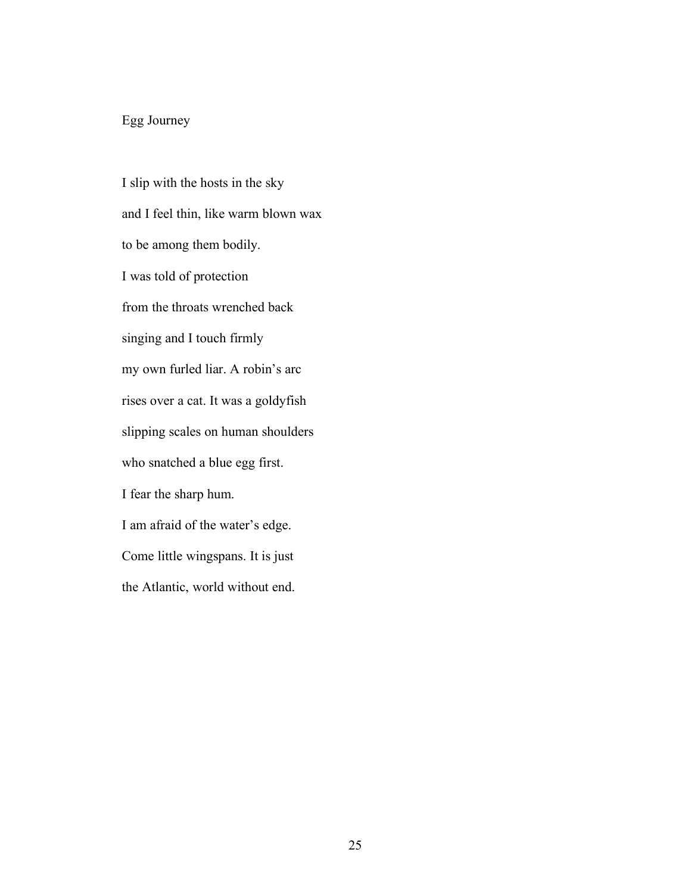## Egg Journey

I slip with the hosts in the sky and I feel thin, like warm blown wax to be among them bodily. I was told of protection from the throats wrenched back singing and I touch firmly my own furled liar. A robin's arc rises over a cat. It was a goldyfish slipping scales on human shoulders who snatched a blue egg first. I fear the sharp hum. I am afraid of the water's edge. Come little wingspans. It is just the Atlantic, world without end.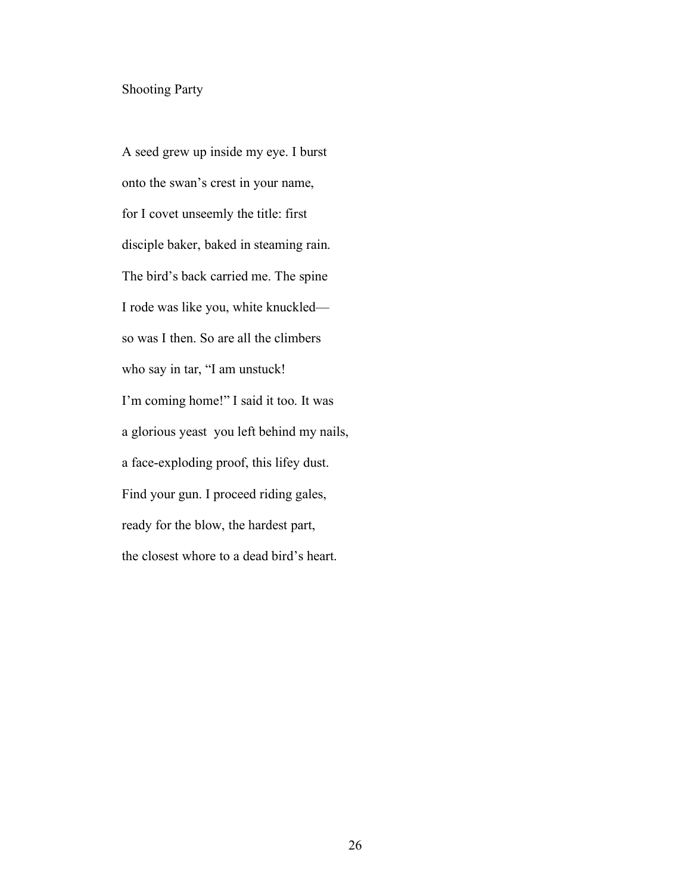## Shooting Party

A seed grew up inside my eye. I burst onto the swan's crest in your name, for I covet unseemly the title: first disciple baker, baked in steaming rain. The bird's back carried me. The spine I rode was like you, white knuckled so was I then. So are all the climbers who say in tar, "I am unstuck! I'm coming home!" I said it too. It was a glorious yeast you left behind my nails, a face-exploding proof, this lifey dust. Find your gun. I proceed riding gales, ready for the blow, the hardest part, the closest whore to a dead bird's heart.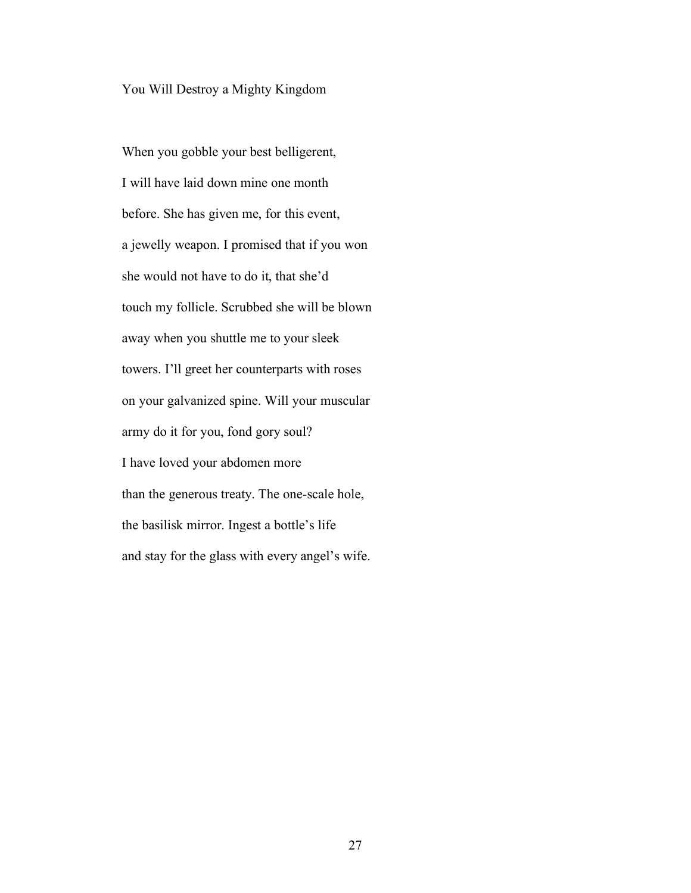#### You Will Destroy a Mighty Kingdom

When you gobble your best belligerent, I will have laid down mine one month before. She has given me, for this event, a jewelly weapon. I promised that if you won she would not have to do it, that she'd touch my follicle. Scrubbed she will be blown away when you shuttle me to your sleek towers. I'll greet her counterparts with roses on your galvanized spine. Will your muscular army do it for you, fond gory soul? I have loved your abdomen more than the generous treaty. The one-scale hole, the basilisk mirror. Ingest a bottle's life and stay for the glass with every angel's wife.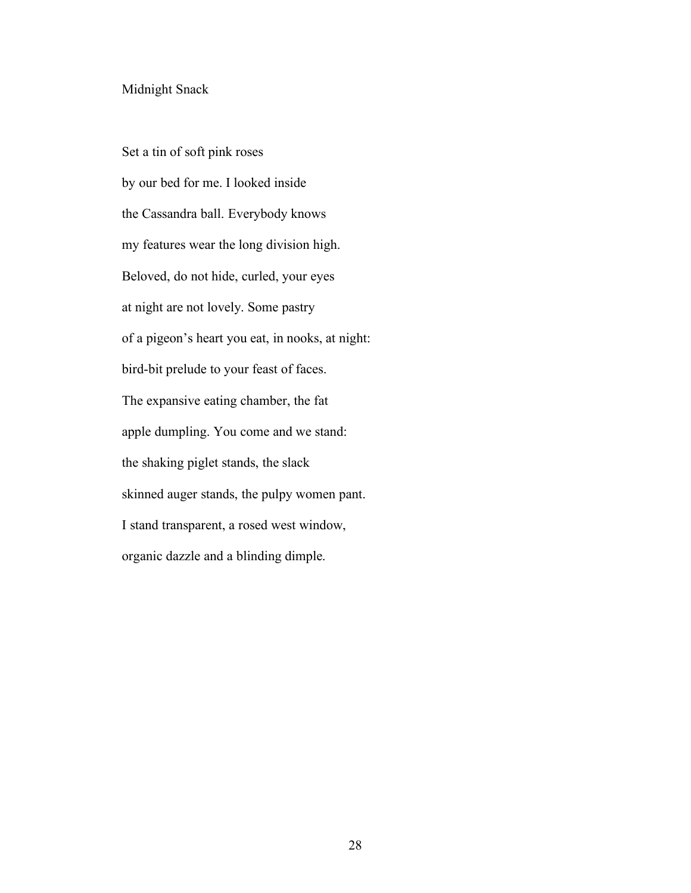# Midnight Snack

Set a tin of soft pink roses by our bed for me. I looked inside the Cassandra ball. Everybody knows my features wear the long division high. Beloved, do not hide, curled, your eyes at night are not lovely. Some pastry of a pigeon's heart you eat, in nooks, at night: bird-bit prelude to your feast of faces. The expansive eating chamber, the fat apple dumpling. You come and we stand: the shaking piglet stands, the slack skinned auger stands, the pulpy women pant. I stand transparent, a rosed west window, organic dazzle and a blinding dimple.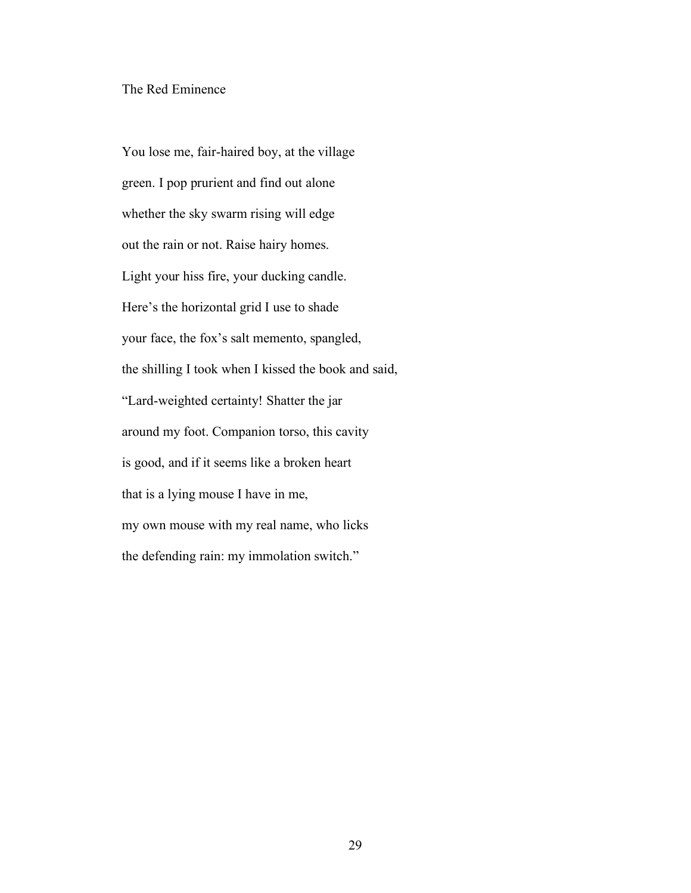#### The Red Eminence

You lose me, fair-haired boy, at the village green. I pop prurient and find out alone whether the sky swarm rising will edge out the rain or not. Raise hairy homes. Light your hiss fire, your ducking candle. Here's the horizontal grid I use to shade your face, the fox's salt memento, spangled, the shilling I took when I kissed the book and said, "Lard-weighted certainty! Shatter the jar around my foot. Companion torso, this cavity is good, and if it seems like a broken heart that is a lying mouse I have in me, my own mouse with my real name, who licks the defending rain: my immolation switch."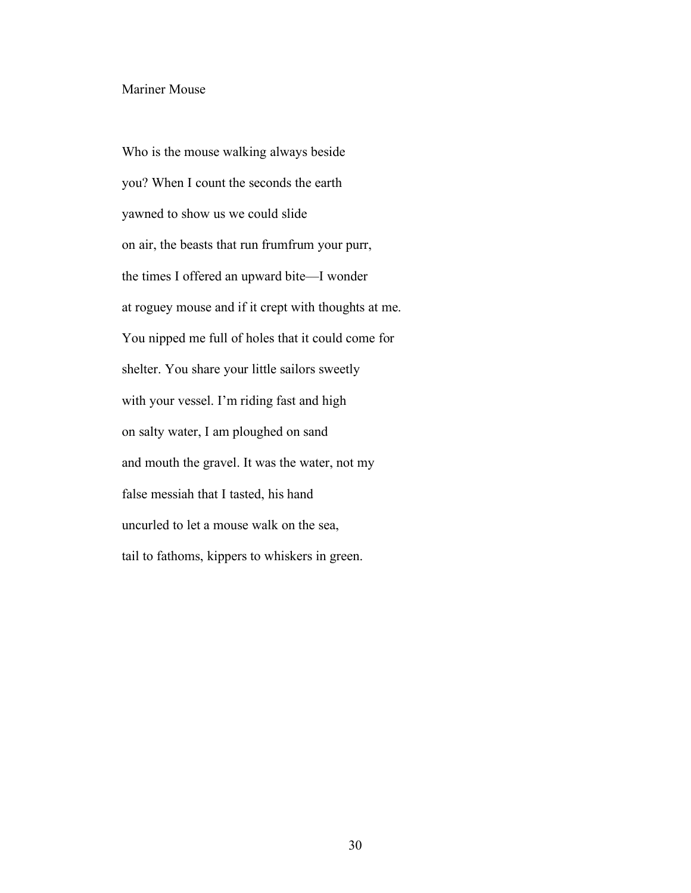#### Mariner Mouse

Who is the mouse walking always beside you? When I count the seconds the earth yawned to show us we could slide on air, the beasts that run frumfrum your purr, the times I offered an upward bite—I wonder at roguey mouse and if it crept with thoughts at me. You nipped me full of holes that it could come for shelter. You share your little sailors sweetly with your vessel. I'm riding fast and high on salty water, I am ploughed on sand and mouth the gravel. It was the water, not my false messiah that I tasted, his hand uncurled to let a mouse walk on the sea, tail to fathoms, kippers to whiskers in green.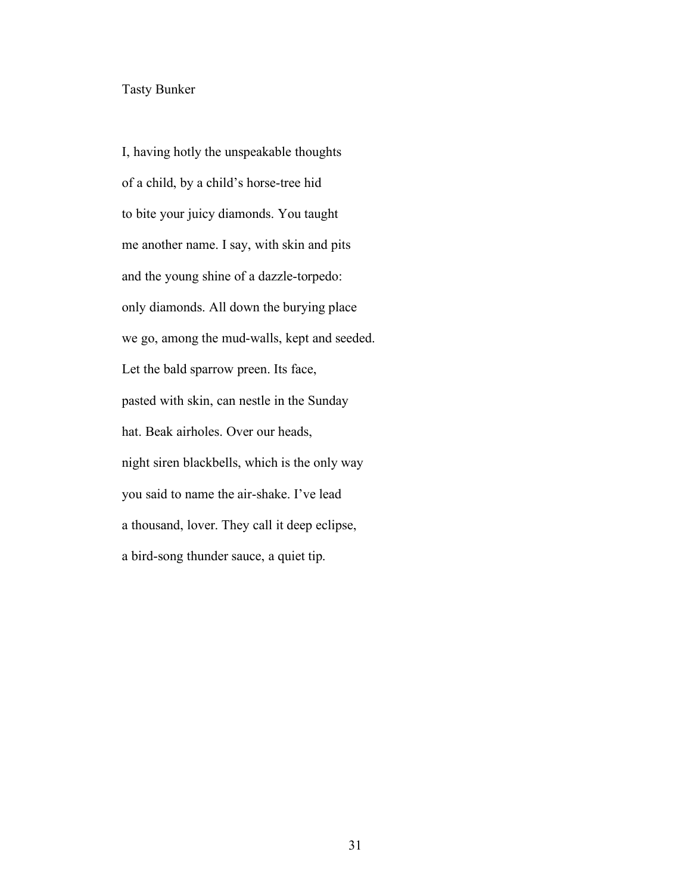#### Tasty Bunker

I, having hotly the unspeakable thoughts of a child, by a child's horse-tree hid to bite your juicy diamonds. You taught me another name. I say, with skin and pits and the young shine of a dazzle-torpedo: only diamonds. All down the burying place we go, among the mud-walls, kept and seeded. Let the bald sparrow preen. Its face, pasted with skin, can nestle in the Sunday hat. Beak airholes. Over our heads, night siren blackbells, which is the only way you said to name the air-shake. I've lead a thousand, lover. They call it deep eclipse, a bird-song thunder sauce, a quiet tip.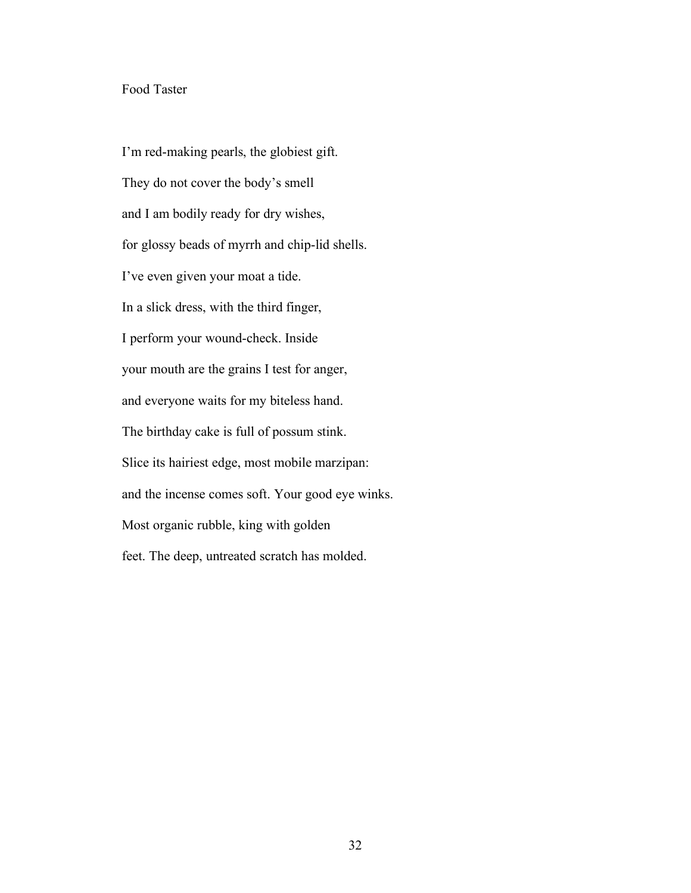#### Food Taster

I'm red-making pearls, the globiest gift. They do not cover the body's smell and I am bodily ready for dry wishes, for glossy beads of myrrh and chip-lid shells. I've even given your moat a tide. In a slick dress, with the third finger, I perform your wound-check. Inside your mouth are the grains I test for anger, and everyone waits for my biteless hand. The birthday cake is full of possum stink. Slice its hairiest edge, most mobile marzipan: and the incense comes soft. Your good eye winks. Most organic rubble, king with golden feet. The deep, untreated scratch has molded.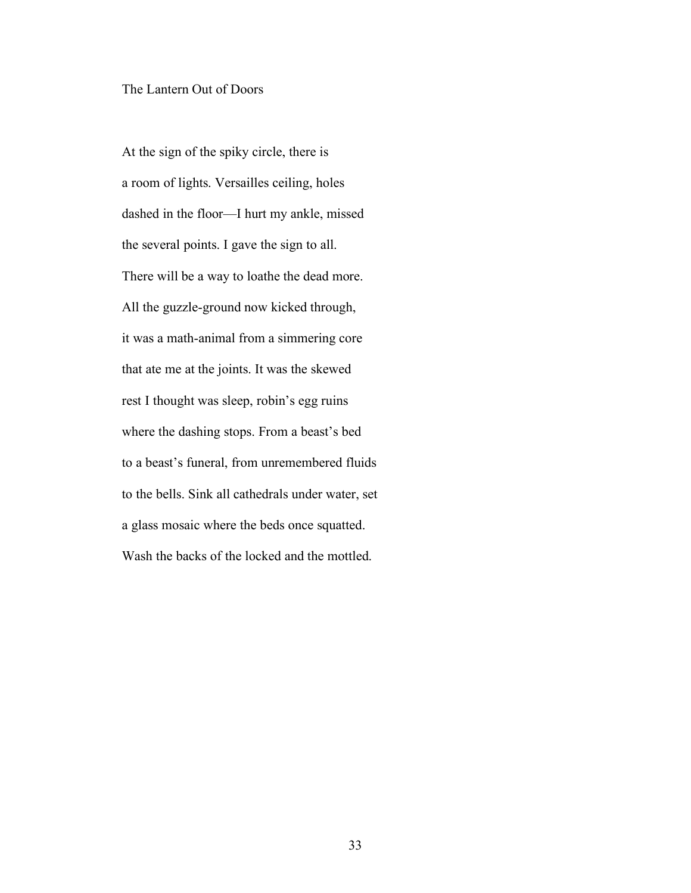#### The Lantern Out of Doors

At the sign of the spiky circle, there is a room of lights. Versailles ceiling, holes dashed in the floor—I hurt my ankle, missed the several points. I gave the sign to all. There will be a way to loathe the dead more. All the guzzle-ground now kicked through, it was a math-animal from a simmering core that ate me at the joints. It was the skewed rest I thought was sleep, robin's egg ruins where the dashing stops. From a beast's bed to a beast's funeral, from unremembered fluids to the bells. Sink all cathedrals under water, set a glass mosaic where the beds once squatted. Wash the backs of the locked and the mottled.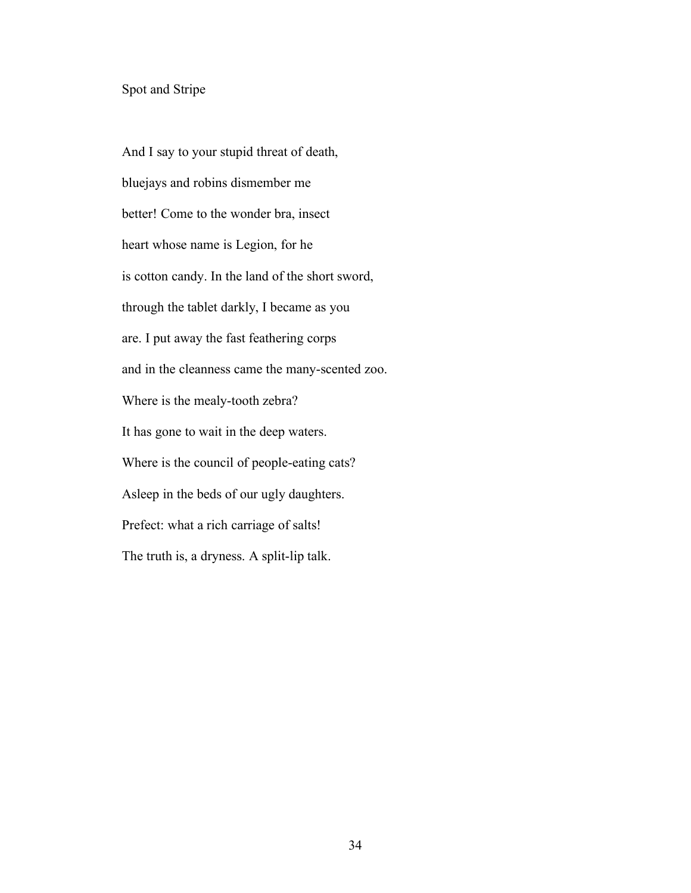## Spot and Stripe

And I say to your stupid threat of death, bluejays and robins dismember me better! Come to the wonder bra, insect heart whose name is Legion, for he is cotton candy. In the land of the short sword, through the tablet darkly, I became as you are. I put away the fast feathering corps and in the cleanness came the many-scented zoo. Where is the mealy-tooth zebra? It has gone to wait in the deep waters. Where is the council of people-eating cats? Asleep in the beds of our ugly daughters. Prefect: what a rich carriage of salts! The truth is, a dryness. A split-lip talk.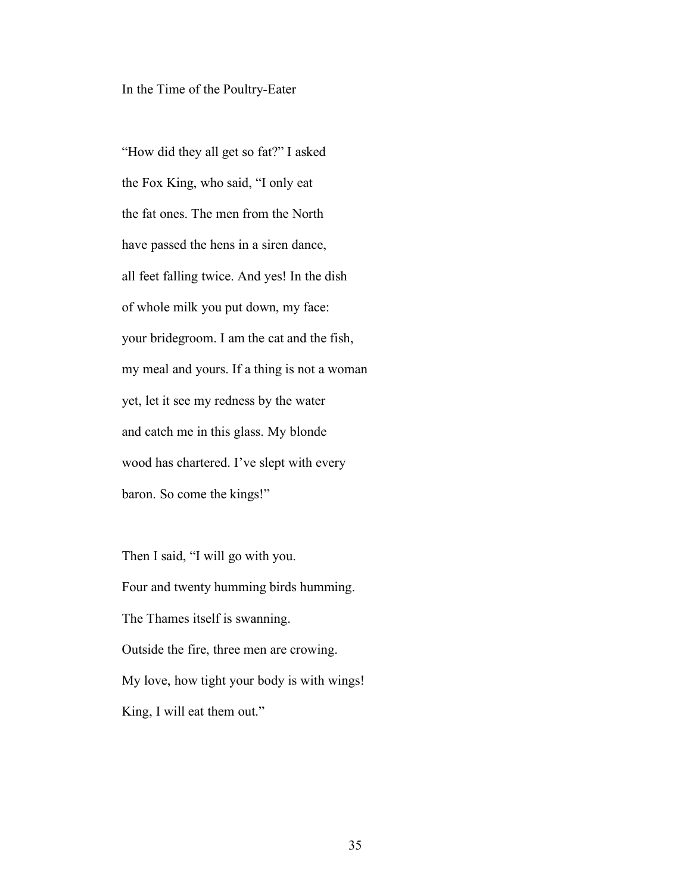In the Time of the Poultry-Eater

"How did they all get so fat?" I asked the Fox King, who said, "I only eat the fat ones. The men from the North have passed the hens in a siren dance, all feet falling twice. And yes! In the dish of whole milk you put down, my face: your bridegroom. I am the cat and the fish, my meal and yours. If a thing is not a woman yet, let it see my redness by the water and catch me in this glass. My blonde wood has chartered. I've slept with every baron. So come the kings!"

Then I said, "I will go with you. Four and twenty humming birds humming. The Thames itself is swanning. Outside the fire, three men are crowing. My love, how tight your body is with wings! King, I will eat them out."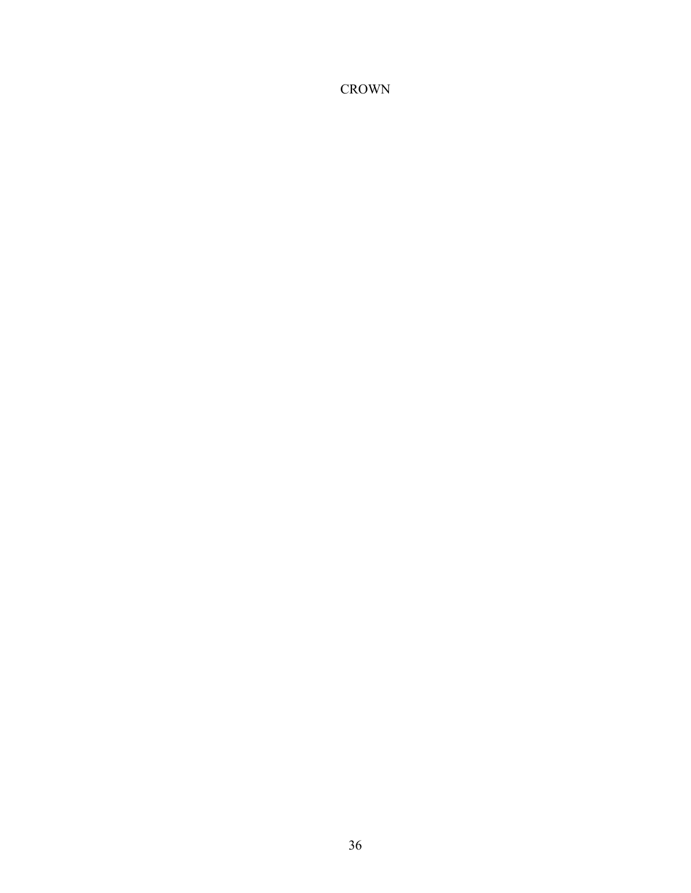CROWN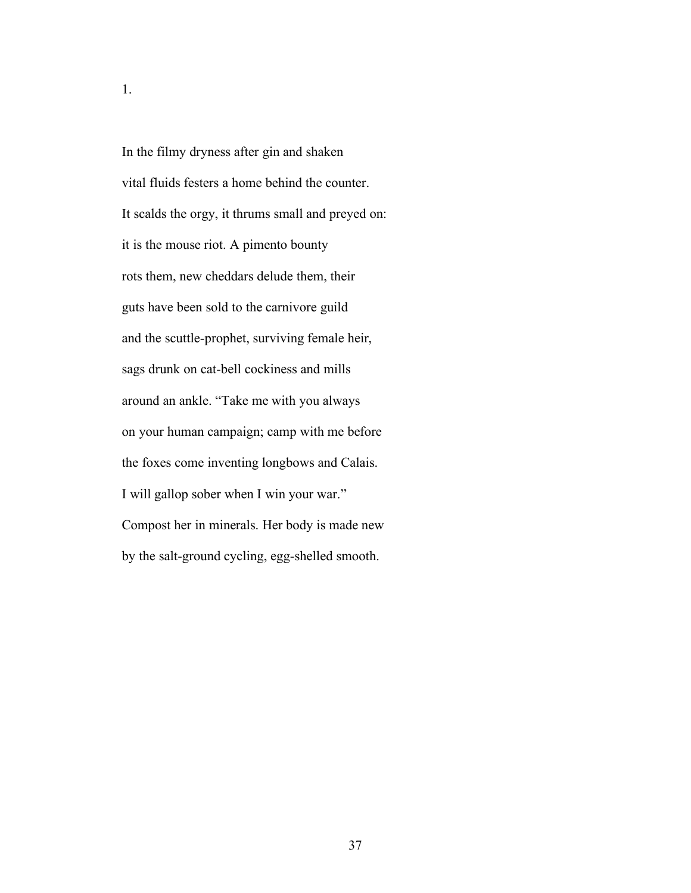In the filmy dryness after gin and shaken vital fluids festers a home behind the counter. It scalds the orgy, it thrums small and preyed on: it is the mouse riot. A pimento bounty rots them, new cheddars delude them, their guts have been sold to the carnivore guild and the scuttle-prophet, surviving female heir, sags drunk on cat-bell cockiness and mills around an ankle. "Take me with you always on your human campaign; camp with me before the foxes come inventing longbows and Calais. I will gallop sober when I win your war." Compost her in minerals. Her body is made new by the salt-ground cycling, egg-shelled smooth.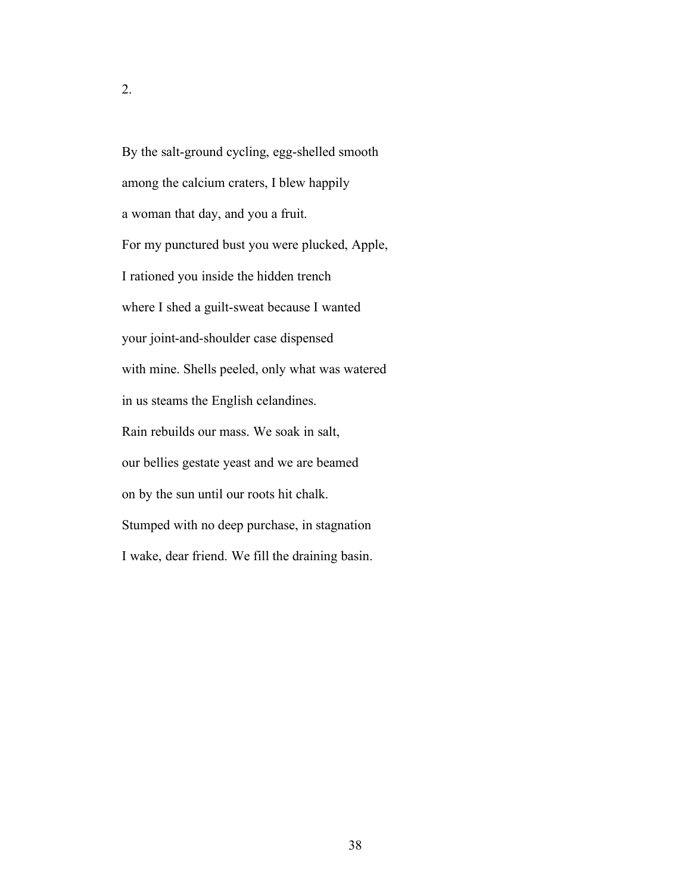By the salt-ground cycling, egg-shelled smooth among the calcium craters, I blew happily a woman that day, and you a fruit. For my punctured bust you were plucked, Apple, I rationed you inside the hidden trench where I shed a guilt-sweat because I wanted your joint-and-shoulder case dispensed with mine. Shells peeled, only what was watered in us steams the English celandines. Rain rebuilds our mass. We soak in salt, our bellies gestate yeast and we are beamed on by the sun until our roots hit chalk. Stumped with no deep purchase, in stagnation I wake, dear friend. We fill the draining basin.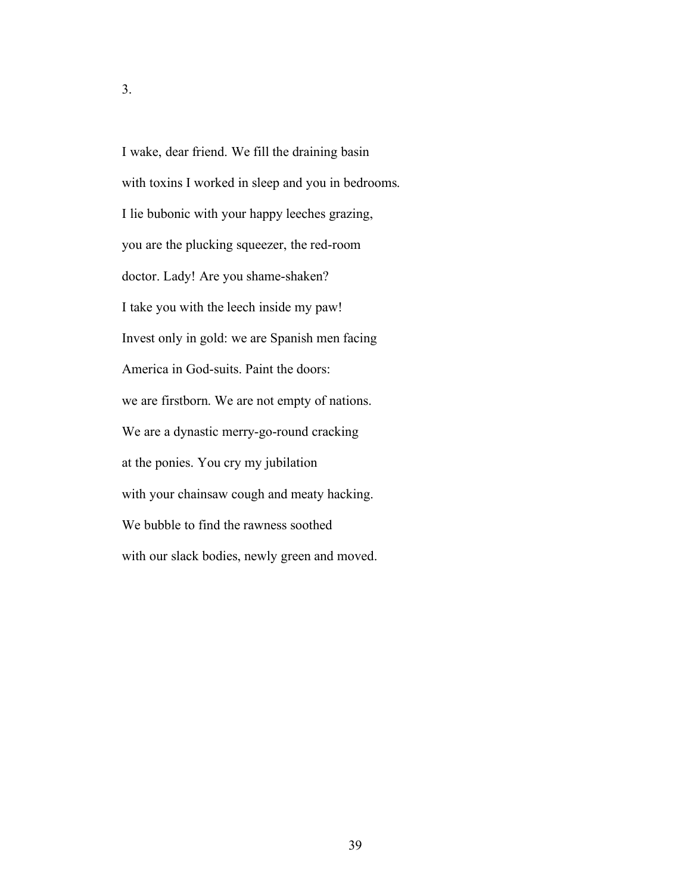I wake, dear friend. We fill the draining basin with toxins I worked in sleep and you in bedrooms. I lie bubonic with your happy leeches grazing, you are the plucking squeezer, the red-room doctor. Lady! Are you shame-shaken? I take you with the leech inside my paw! Invest only in gold: we are Spanish men facing America in God-suits. Paint the doors: we are firstborn. We are not empty of nations. We are a dynastic merry-go-round cracking at the ponies. You cry my jubilation with your chainsaw cough and meaty hacking. We bubble to find the rawness soothed with our slack bodies, newly green and moved.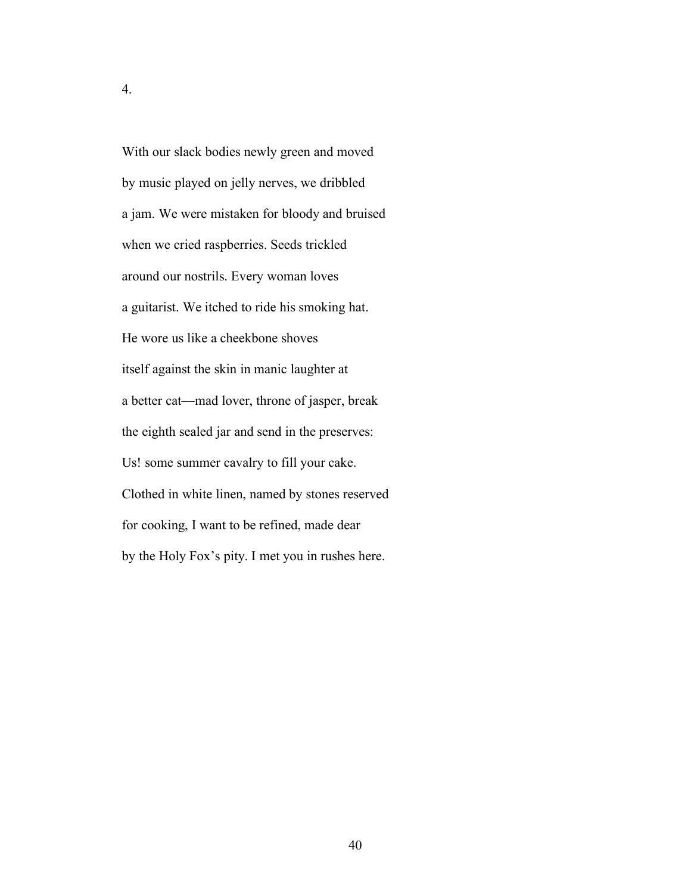With our slack bodies newly green and moved by music played on jelly nerves, we dribbled a jam. We were mistaken for bloody and bruised when we cried raspberries. Seeds trickled around our nostrils. Every woman loves a guitarist. We itched to ride his smoking hat. He wore us like a cheekbone shoves itself against the skin in manic laughter at a better cat—mad lover, throne of jasper, break the eighth sealed jar and send in the preserves: Us! some summer cavalry to fill your cake. Clothed in white linen, named by stones reserved for cooking, I want to be refined, made dear by the Holy Fox's pity. I met you in rushes here.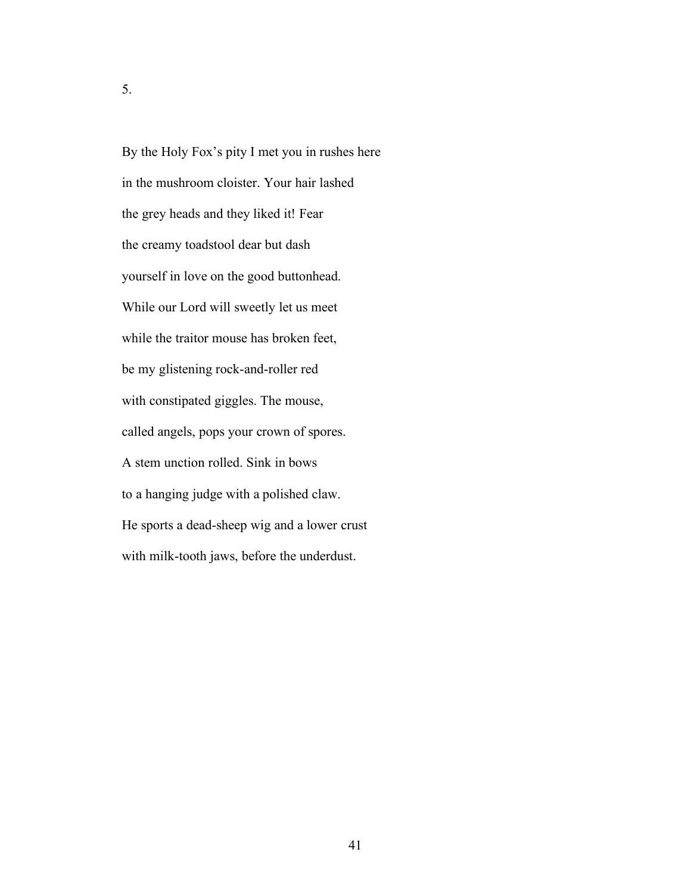By the Holy Fox's pity I met you in rushes here in the mushroom cloister. Your hair lashed the grey heads and they liked it! Fear the creamy toadstool dear but dash yourself in love on the good buttonhead. While our Lord will sweetly let us meet while the traitor mouse has broken feet, be my glistening rock-and-roller red with constipated giggles. The mouse, called angels, pops your crown of spores. A stem unction rolled. Sink in bows to a hanging judge with a polished claw. He sports a dead-sheep wig and a lower crust with milk-tooth jaws, before the underdust.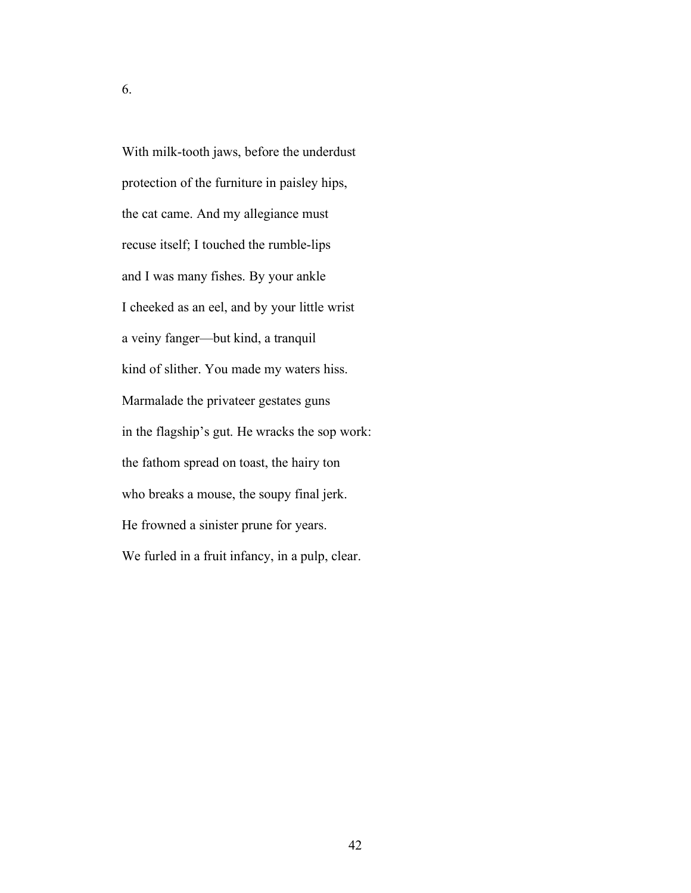With milk-tooth jaws, before the underdust protection of the furniture in paisley hips, the cat came. And my allegiance must recuse itself; I touched the rumble-lips and I was many fishes. By your ankle I cheeked as an eel, and by your little wrist a veiny fanger—but kind, a tranquil kind of slither. You made my waters hiss. Marmalade the privateer gestates guns in the flagship's gut. He wracks the sop work: the fathom spread on toast, the hairy ton who breaks a mouse, the soupy final jerk. He frowned a sinister prune for years. We furled in a fruit infancy, in a pulp, clear.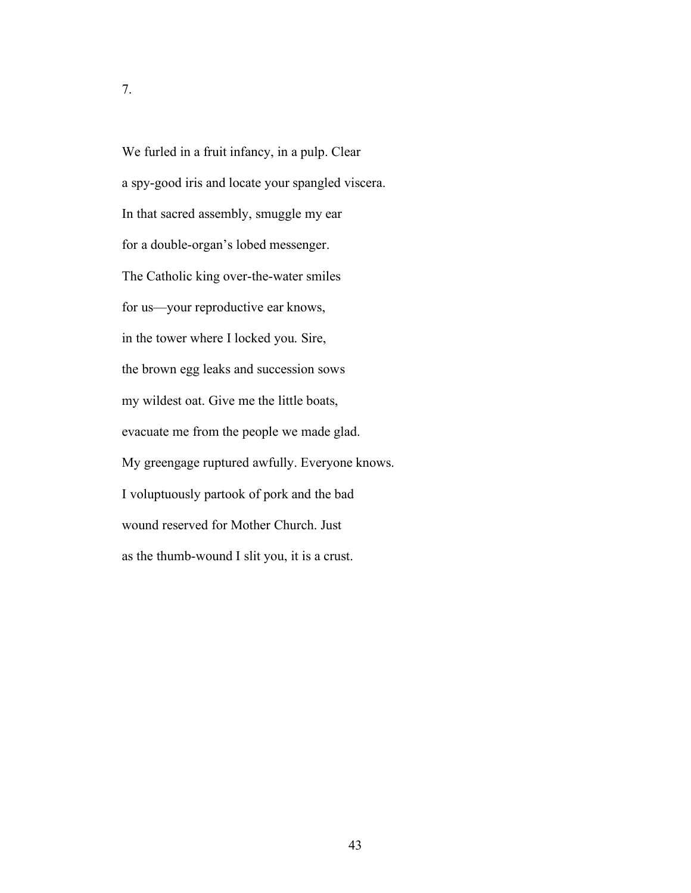We furled in a fruit infancy, in a pulp. Clear a spy-good iris and locate your spangled viscera. In that sacred assembly, smuggle my ear for a double-organ's lobed messenger. The Catholic king over-the-water smiles for us—your reproductive ear knows, in the tower where I locked you. Sire, the brown egg leaks and succession sows my wildest oat. Give me the little boats, evacuate me from the people we made glad. My greengage ruptured awfully. Everyone knows. I voluptuously partook of pork and the bad wound reserved for Mother Church. Just as the thumb-wound I slit you, it is a crust.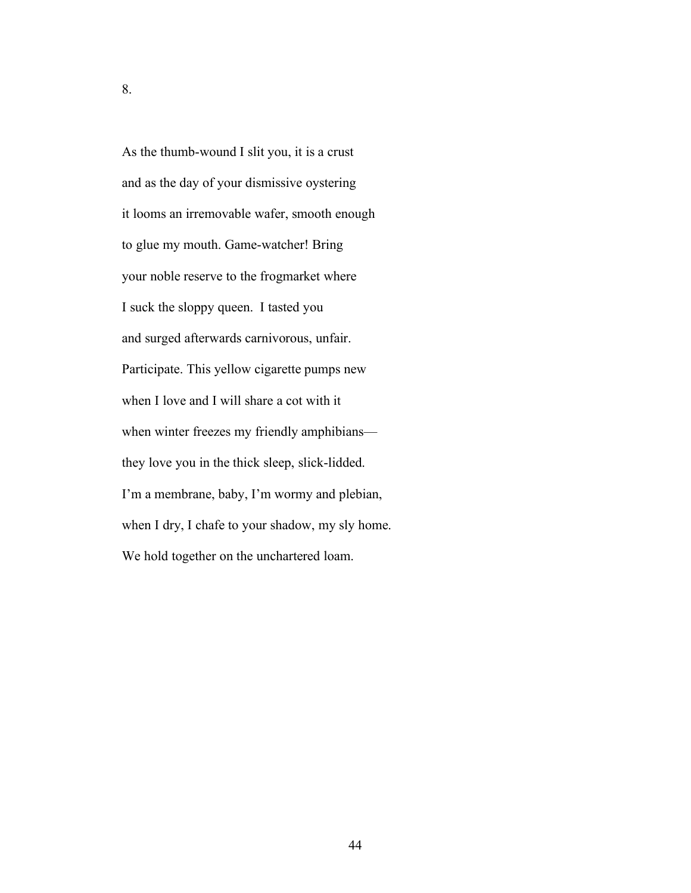As the thumb-wound I slit you, it is a crust and as the day of your dismissive oystering it looms an irremovable wafer, smooth enough to glue my mouth. Game-watcher! Bring your noble reserve to the frogmarket where I suck the sloppy queen. I tasted you and surged afterwards carnivorous, unfair. Participate. This yellow cigarette pumps new when I love and I will share a cot with it when winter freezes my friendly amphibians they love you in the thick sleep, slick-lidded. I'm a membrane, baby, I'm wormy and plebian, when I dry, I chafe to your shadow, my sly home. We hold together on the unchartered loam.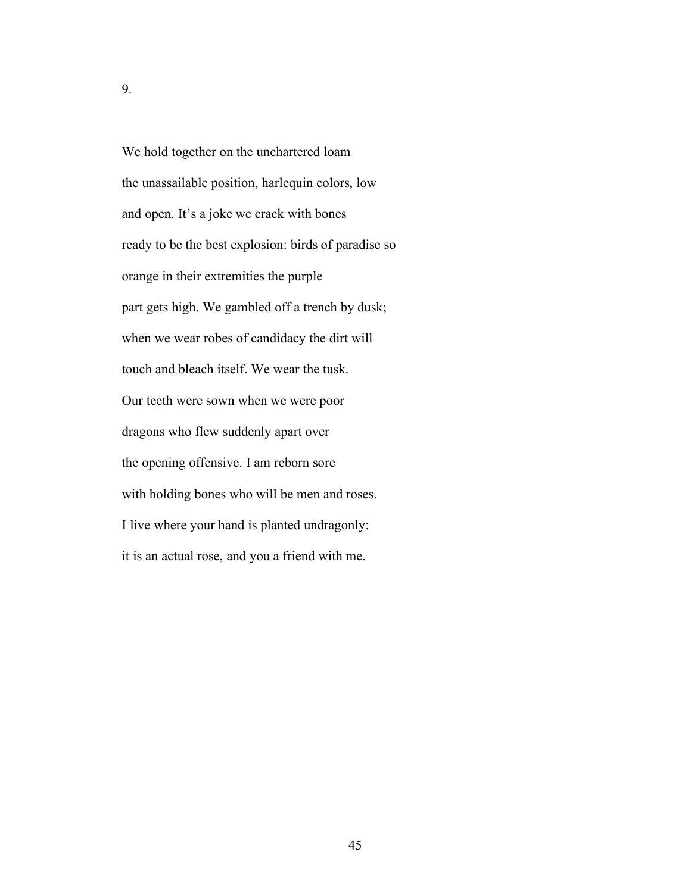We hold together on the unchartered loam the unassailable position, harlequin colors, low and open. It's a joke we crack with bones ready to be the best explosion: birds of paradise so orange in their extremities the purple part gets high. We gambled off a trench by dusk; when we wear robes of candidacy the dirt will touch and bleach itself. We wear the tusk. Our teeth were sown when we were poor dragons who flew suddenly apart over the opening offensive. I am reborn sore with holding bones who will be men and roses. I live where your hand is planted undragonly: it is an actual rose, and you a friend with me.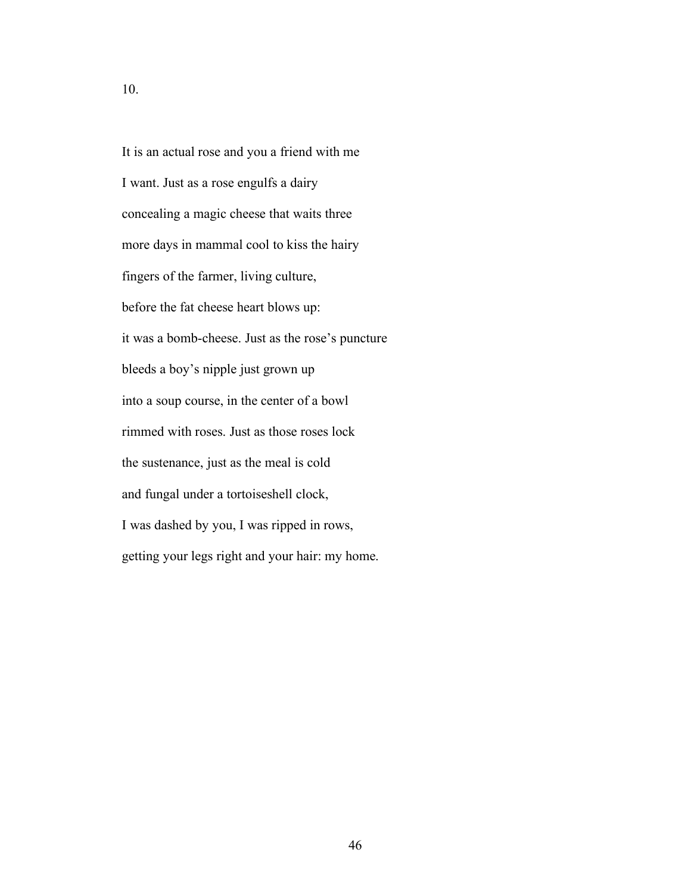It is an actual rose and you a friend with me I want. Just as a rose engulfs a dairy concealing a magic cheese that waits three more days in mammal cool to kiss the hairy fingers of the farmer, living culture, before the fat cheese heart blows up: it was a bomb-cheese. Just as the rose's puncture bleeds a boy's nipple just grown up into a soup course, in the center of a bowl rimmed with roses. Just as those roses lock the sustenance, just as the meal is cold and fungal under a tortoiseshell clock, I was dashed by you, I was ripped in rows, getting your legs right and your hair: my home.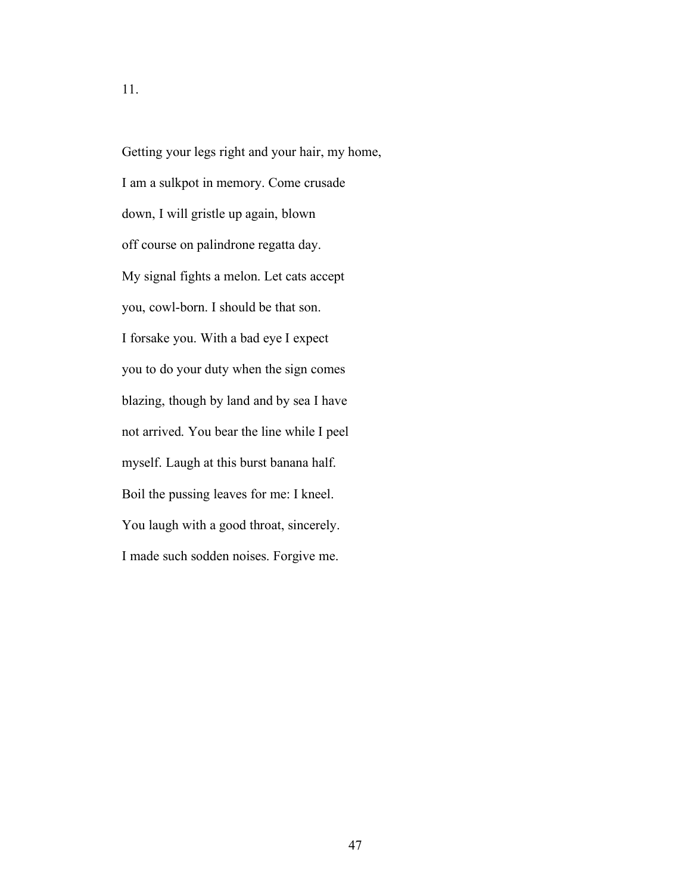Getting your legs right and your hair, my home, I am a sulkpot in memory. Come crusade down, I will gristle up again, blown off course on palindrone regatta day. My signal fights a melon. Let cats accept you, cowl-born. I should be that son. I forsake you. With a bad eye I expect you to do your duty when the sign comes blazing, though by land and by sea I have not arrived. You bear the line while I peel myself. Laugh at this burst banana half. Boil the pussing leaves for me: I kneel. You laugh with a good throat, sincerely. I made such sodden noises. Forgive me.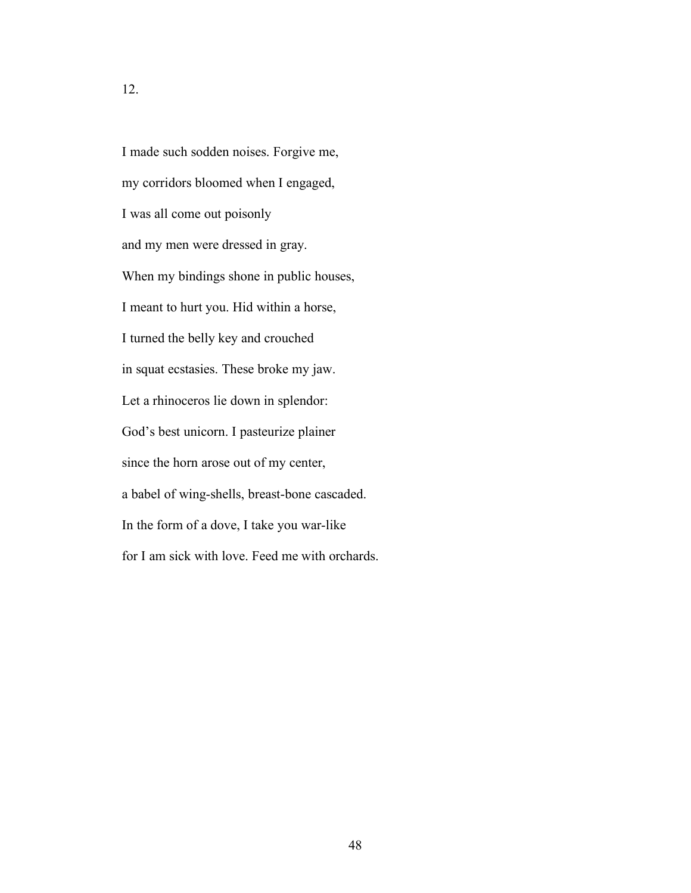I made such sodden noises. Forgive me, my corridors bloomed when I engaged, I was all come out poisonly and my men were dressed in gray. When my bindings shone in public houses, I meant to hurt you. Hid within a horse, I turned the belly key and crouched in squat ecstasies. These broke my jaw. Let a rhinoceros lie down in splendor: God's best unicorn. I pasteurize plainer since the horn arose out of my center, a babel of wing-shells, breast-bone cascaded. In the form of a dove, I take you war-like for I am sick with love. Feed me with orchards.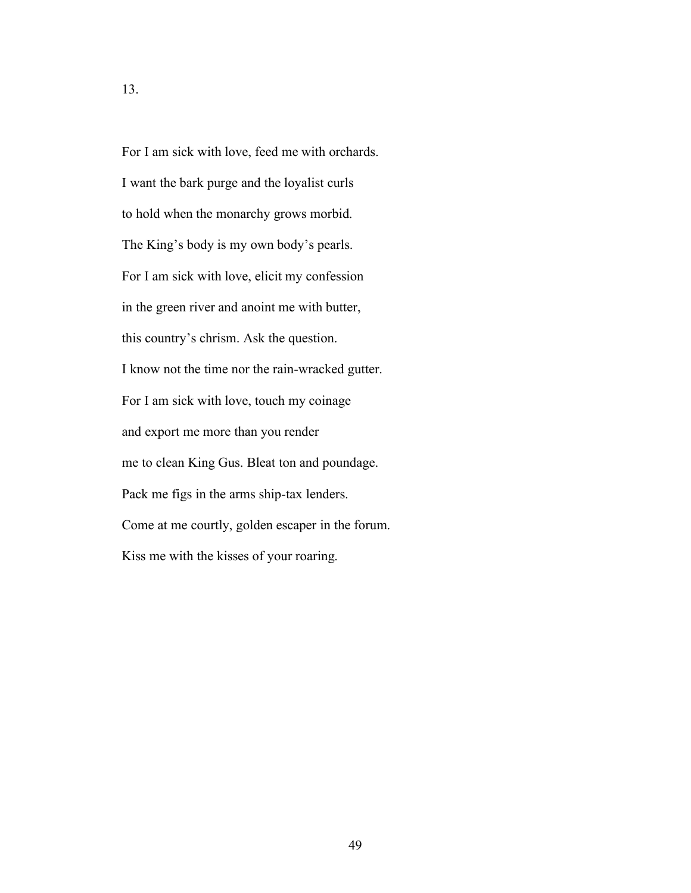For I am sick with love, feed me with orchards. I want the bark purge and the loyalist curls to hold when the monarchy grows morbid. The King's body is my own body's pearls. For I am sick with love, elicit my confession in the green river and anoint me with butter, this country's chrism. Ask the question. I know not the time nor the rain-wracked gutter. For I am sick with love, touch my coinage and export me more than you render me to clean King Gus. Bleat ton and poundage. Pack me figs in the arms ship-tax lenders. Come at me courtly, golden escaper in the forum. Kiss me with the kisses of your roaring.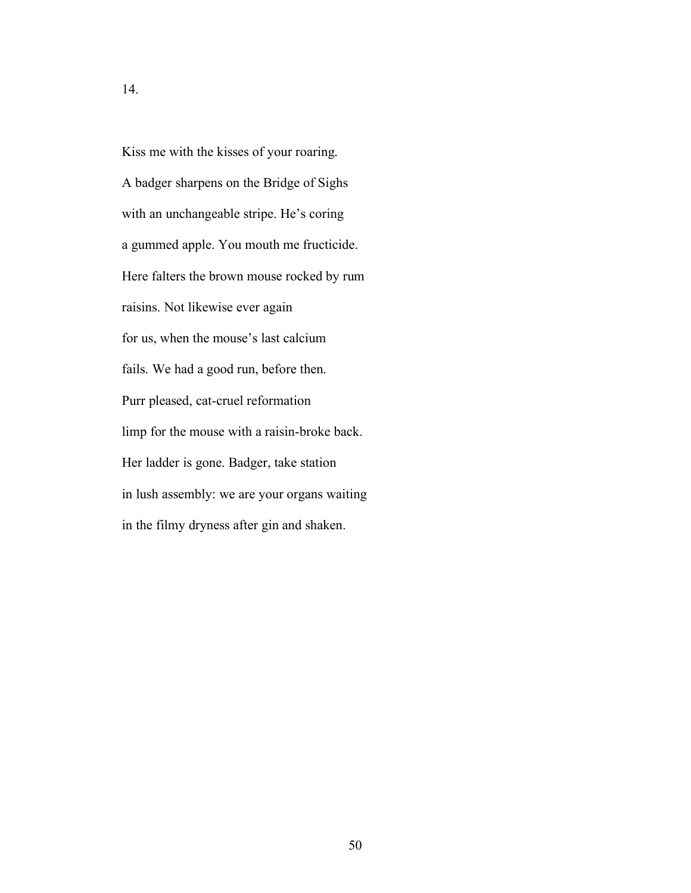Kiss me with the kisses of your roaring. A badger sharpens on the Bridge of Sighs with an unchangeable stripe. He's coring a gummed apple. You mouth me fructicide. Here falters the brown mouse rocked by rum raisins. Not likewise ever again for us, when the mouse's last calcium fails. We had a good run, before then. Purr pleased, cat-cruel reformation limp for the mouse with a raisin-broke back. Her ladder is gone. Badger, take station in lush assembly: we are your organs waiting in the filmy dryness after gin and shaken.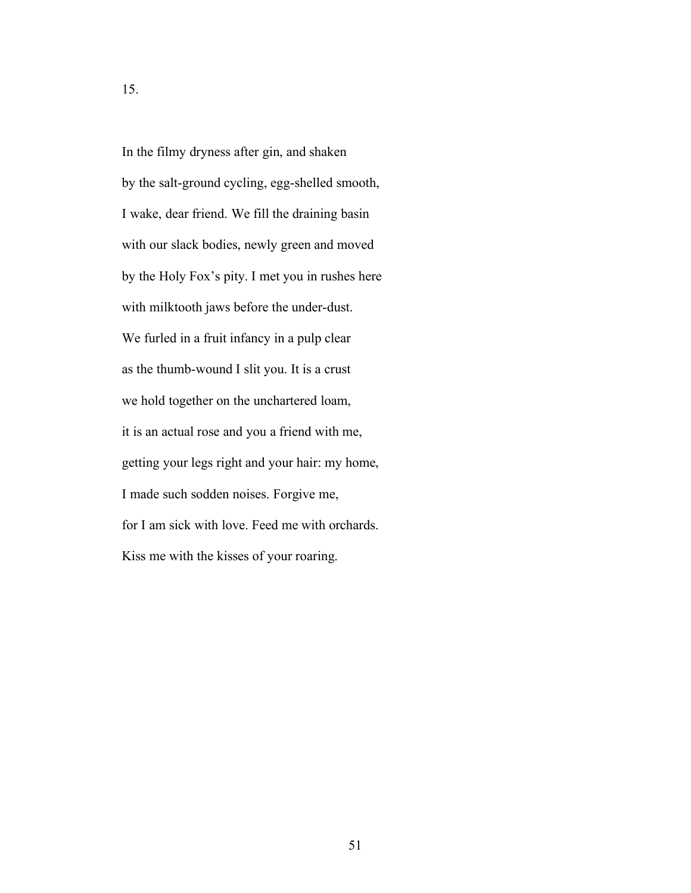In the filmy dryness after gin, and shaken by the salt-ground cycling, egg-shelled smooth, I wake, dear friend. We fill the draining basin with our slack bodies, newly green and moved by the Holy Fox's pity. I met you in rushes here with milktooth jaws before the under-dust. We furled in a fruit infancy in a pulp clear as the thumb-wound I slit you. It is a crust we hold together on the unchartered loam, it is an actual rose and you a friend with me, getting your legs right and your hair: my home, I made such sodden noises. Forgive me, for I am sick with love. Feed me with orchards. Kiss me with the kisses of your roaring.